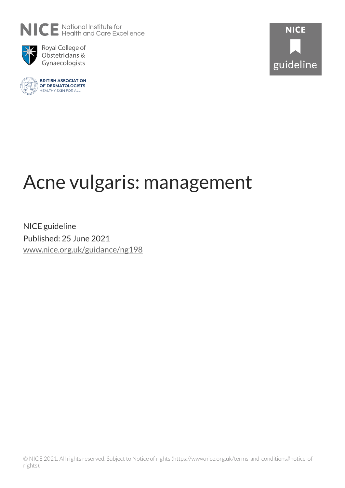



Royal College of Obstetricians & Gynaecologists





# Acne vulgaris: management

NICE guideline Published: 25 June 2021 [www.nice.org.uk/guidance/ng198](https://www.nice.org.uk/guidance/ng198)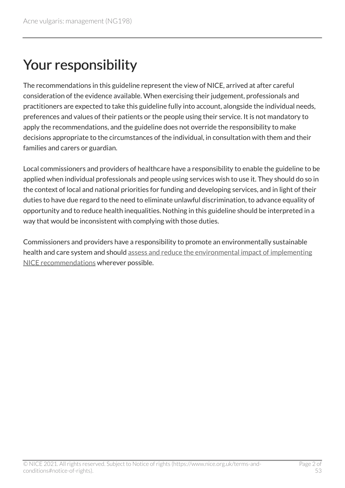## Your responsibility

The recommendations in this guideline represent the view of NICE, arrived at after careful consideration of the evidence available. When exercising their judgement, professionals and practitioners are expected to take this guideline fully into account, alongside the individual needs, preferences and values of their patients or the people using their service. It is not mandatory to apply the recommendations, and the guideline does not override the responsibility to make decisions appropriate to the circumstances of the individual, in consultation with them and their families and carers or guardian.

Local commissioners and providers of healthcare have a responsibility to enable the guideline to be applied when individual professionals and people using services wish to use it. They should do so in the context of local and national priorities for funding and developing services, and in light of their duties to have due regard to the need to eliminate unlawful discrimination, to advance equality of opportunity and to reduce health inequalities. Nothing in this guideline should be interpreted in a way that would be inconsistent with complying with those duties.

Commissioners and providers have a responsibility to promote an environmentally sustainable health and care system and should [assess and reduce the environmental impact of implementing](https://www.nice.org.uk/about/who-we-are/sustainability)  [NICE recommendations](https://www.nice.org.uk/about/who-we-are/sustainability) wherever possible.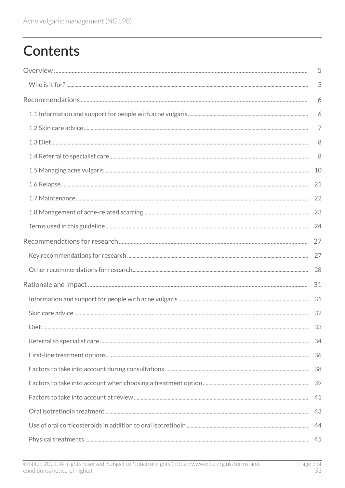## **Contents**

| 5  |
|----|
| 5  |
| 6  |
| 6  |
| 7  |
| 8  |
| 8  |
| 10 |
| 21 |
| 22 |
| 23 |
| 24 |
| 27 |
| 27 |
| 28 |
| 31 |
| 31 |
| 32 |
|    |
|    |
|    |
|    |
|    |
| 41 |
| 43 |
|    |
|    |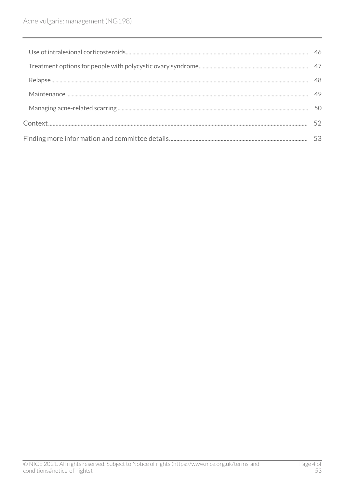| 49 |
|----|
|    |
|    |
|    |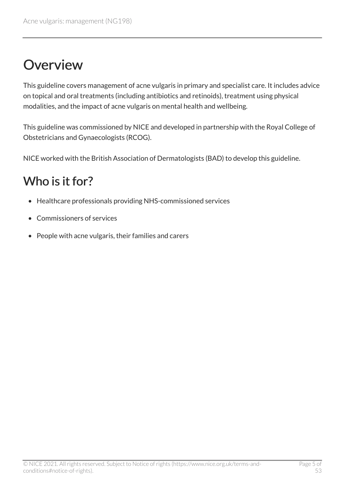## <span id="page-4-0"></span>**Overview**

This guideline covers management of acne vulgaris in primary and specialist care. It includes advice on topical and oral treatments (including antibiotics and retinoids), treatment using physical modalities, and the impact of acne vulgaris on mental health and wellbeing.

This guideline was commissioned by NICE and developed in partnership with the Royal College of Obstetricians and Gynaecologists (RCOG).

NICE worked with the British Association of Dermatologists (BAD) to develop this guideline.

### <span id="page-4-1"></span>Who is it for?

- Healthcare professionals providing NHS-commissioned services
- Commissioners of services
- People with acne vulgaris, their families and carers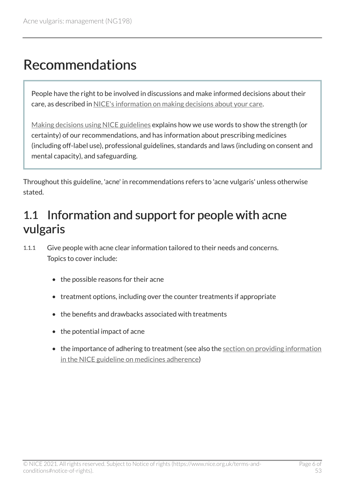## <span id="page-5-0"></span>Recommendations

People have the right to be involved in discussions and make informed decisions about their care, as described in [NICE's information on making decisions about your care](http://www.nice.org.uk/about/nice-communities/public-involvement/your-care).

[Making decisions using NICE guidelines](http://www.nice.org.uk/about/what-we-do/our-programmes/nice-guidance/nice-guidelines/using-NICE-guidelines-to-make-decisions) explains how we use words to show the strength (or certainty) of our recommendations, and has information about prescribing medicines (including off-label use), professional guidelines, standards and laws (including on consent and mental capacity), and safeguarding.

Throughout this guideline, 'acne' in recommendations refers to 'acne vulgaris' unless otherwise stated.

### <span id="page-5-1"></span>1.1 Information and support for people with acne vulgaris

1.1.1 Give people with acne clear information tailored to their needs and concerns. Topics to cover include:

- the possible reasons for their acne
- treatment options, including over the counter treatments if appropriate
- the benefits and drawbacks associated with treatments
- the potential impact of acne
- the importance of adhering to treatment (see also the section on providing information [in the NICE guideline on medicines adherence](https://www.nice.org.uk/guidance/cg76/chapter/1-Guidance#patient-involvement-in-decisions-about-medicines))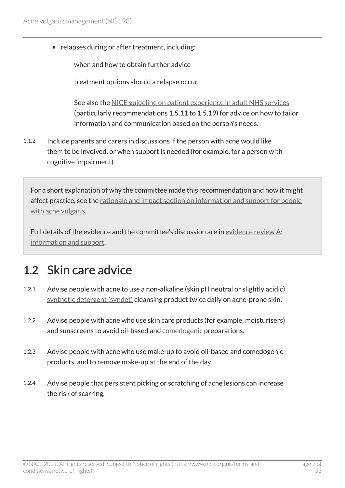- relapses during or after treatment, including:
	- when and how to obtain further advice
	- $-$  treatment options should a relapse occur.

See also the [NICE guideline on patient experience in adult NHS services](https://www.nice.org.uk/guidance/cg138) (particularly recommendations 1.5.11 to 1.5.19) for advice on how to tailor information and communication based on the person's needs.

1.1.2 Include parents and carers in discussions if the person with acne would like them to be involved, or when support is needed (for example, for a person with cognitive impairment).

For a short explanation of why the committee made this recommendation and how it might affect practice, see the [rationale and impact section on information and support for people](#page-30-1)  [with acne vulgaris.](#page-30-1)

Full details of the evidence and the committee's discussion are in [evidence review](https://www.nice.org.uk/guidance/ng198/evidence/a-information-and-support-pdf-9144159949) A: [information and support](https://www.nice.org.uk/guidance/ng198/evidence/a-information-and-support-pdf-9144159949).

### <span id="page-6-0"></span>1.2 Skin care advice

- 1.2.1 Advise people with acne to use a non-alkaline (skin pH neutral or slightly acidic) [synthetic detergent \(syndet\)](#page-24-0) cleansing product twice daily on acne-prone skin.
- 1.2.2 Advise people with acne who use skin care products (for example, moisturisers) and sunscreens to avoid oil-based and [comedogenic](#page-23-1) preparations.
- 1.2.3 Advise people with acne who use make-up to avoid oil-based and comedogenic products, and to remove make-up at the end of the day.
- 1.2.4 Advise people that persistent picking or scratching of acne lesions can increase the risk of scarring.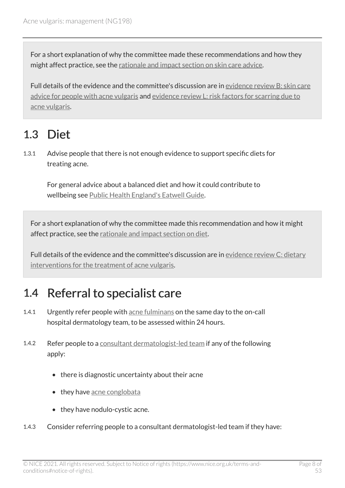For a short explanation of why the committee made these recommendations and how they might affect practice, see the [rationale and impact section on skin care advice.](#page-31-0)

Full details of the evidence and the committee's discussion are in [evidence review](https://www.nice.org.uk/guidance/ng198/evidence/b-skin-care-advice-for-people-with-acne-vulgaris-pdf-9144159950) B: skin care [advice for people with acne vulgaris](https://www.nice.org.uk/guidance/ng198/evidence/b-skin-care-advice-for-people-with-acne-vulgaris-pdf-9144159950) and evidence review [L: risk factors for scarring due to](https://www.nice.org.uk/guidance/ng198/evidence/l-risk-factors-for-scarring-due-to-acne-vulgaris-pdf-329189758168) [acne vulgaris.](https://www.nice.org.uk/guidance/ng198/evidence/l-risk-factors-for-scarring-due-to-acne-vulgaris-pdf-329189758168)

### <span id="page-7-0"></span>1.3 Diet

1.3.1 Advise people that there is not enough evidence to support specific diets for treating acne.

For general advice about a balanced diet and how it could contribute to wellbeing see [Public Health England's Eatwell Guide.](https://www.gov.uk/government/publications/the-eatwell-guide)

For a short explanation of why the committee made this recommendation and how it might affect practice, see the [rationale and impact section on diet](#page-32-0).

Full details of the evidence and the committee's discussion are in [evidence review](https://www.nice.org.uk/guidance/ng198/evidence/c-dietary-interventions-for-the-treatment-of-acne-vulgaris-pdf-9144159951) C: dietary [interventions for the treatment of acne vulgaris](https://www.nice.org.uk/guidance/ng198/evidence/c-dietary-interventions-for-the-treatment-of-acne-vulgaris-pdf-9144159951).

### <span id="page-7-1"></span>1.4 Referral to specialist care

- 1.4.1 Urgently refer people with [acne fulminans](#page-23-2) on the same day to the on-call hospital dermatology team, to be assessed within 24 hours.
- 1.4.2 Refer people to a [consultant dermatologist-led team](#page-23-3) if any of the following apply:
	- there is diagnostic uncertainty about their acne
	- they have acne conglobata
	- they have nodulo-cystic acne.
- 1.4.3 Consider referring people to a consultant dermatologist-led team if they have: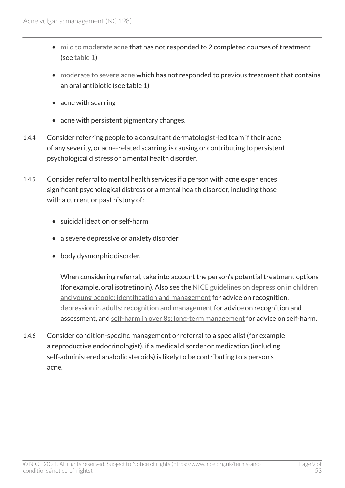- [mild to moderate acne](#page-24-1) that has not responded to 2 completed courses of treatment (see [table](#page-9-0) 1)
- [moderate to severe acne](#page-24-2) which has not responded to previous treatment that contains an oral antibiotic (see table 1)
- acne with scarring
- acne with persistent pigmentary changes.
- 1.4.4 Consider referring people to a consultant dermatologist-led team if their acne of any severity, or acne-related scarring, is causing or contributing to persistent psychological distress or a mental health disorder.
- 1.4.5 Consider referral to mental health services if a person with acne experiences significant psychological distress or a mental health disorder, including those with a current or past history of:
	- suicidal ideation or self-harm
	- a severe depressive or anxiety disorder
	- body dysmorphic disorder.

When considering referral, take into account the person's potential treatment options (for example, oral isotretinoin). Also see the [NICE guidelines on depression in children](https://www.nice.org.uk/guidance/ng134)  [and young people: identification and management](https://www.nice.org.uk/guidance/ng134) for advice on recognition, [depression in adults: recognition and management](https://www.nice.org.uk/guidance/cg90) for advice on recognition and assessment, and [self-harm in over 8s: long-term management](https://www.nice.org.uk/guidance/cg133) for advice on self-harm.

1.4.6 Consider condition-specific management or referral to a specialist (for example a reproductive endocrinologist), if a medical disorder or medication (including self-administered anabolic steroids) is likely to be contributing to a person's acne.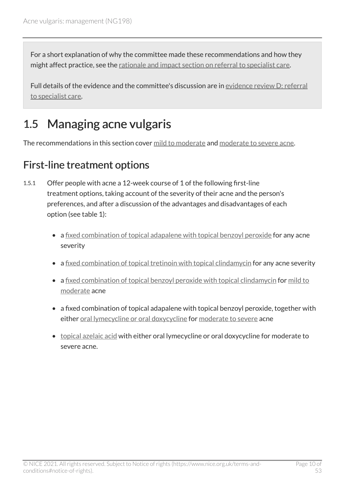For a short explanation of why the committee made these recommendations and how they might affect practice, see the [rationale and impact section on referral to specialist care.](#page-33-0)

Full details of the evidence and the committee's discussion are in [evidence review](https://www.nice.org.uk/guidance/ng198/evidence/d-referral-to-specialist-care-pdf-9144159952) D: referral [to specialist care](https://www.nice.org.uk/guidance/ng198/evidence/d-referral-to-specialist-care-pdf-9144159952).

### <span id="page-9-0"></span>1.5 Managing acne vulgaris

The recommendations in this section cover [mild to moderate](#page-24-1) and [moderate to severe acne](#page-24-2).

#### First-line treatment options

- 1.5.1 Offer people with acne a 12-week course of 1 of the following first-line treatment options, taking account of the severity of their acne and the person's preferences, and after a discussion of the advantages and disadvantages of each option (see table 1):
	- a [fixed combination of topical adapalene with topical benzoyl peroxide](#page-23-5) for any acne severity
	- a [fixed combination of topical tretinoin with topical clindamycin](#page-24-3) for any acne severity
	- a [fixed combination of topical benzoyl peroxide with topical clindamycin](#page-23-6) for mild to [moderate](#page-24-1) acne
	- a fixed combination of topical adapalene with topical benzoyl peroxide, together with either [oral lymecycline or oral doxycycline](#page-24-4) for [moderate to severe](#page-24-2) acne
	- [topical azelaic acid](#page-25-0) with either oral lymecycline or oral doxycycline for moderate to severe acne.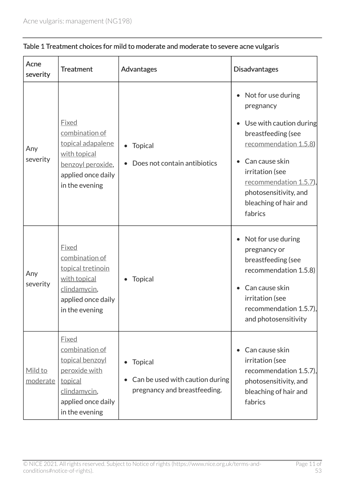| Acne<br>severity           | <b>Treatment</b>                                                                                                                      | Advantages                                                                        | <b>Disadvantages</b>                                                                                                                                                                                                                          |
|----------------------------|---------------------------------------------------------------------------------------------------------------------------------------|-----------------------------------------------------------------------------------|-----------------------------------------------------------------------------------------------------------------------------------------------------------------------------------------------------------------------------------------------|
| Any<br>severity            | <b>Fixed</b><br>combination of<br>topical adapalene<br>with topical<br>benzoyl peroxide,<br>applied once daily<br>in the evening      | <b>Topical</b><br>Does not contain antibiotics                                    | Not for use during<br>pregnancy<br>Use with caution during<br>breastfeeding (see<br>recommendation 1.5.8)<br>Can cause skin<br>irritation (see<br><u>recommendation 1.5.7)</u> ,<br>photosensitivity, and<br>bleaching of hair and<br>fabrics |
| Any<br>severity            | <b>Fixed</b><br>combination of<br>topical tretinoin<br>with topical<br>clindamycin,<br>applied once daily<br>in the evening           | <b>Topical</b>                                                                    | Not for use during<br>pregnancy or<br>breastfeeding (see<br>recommendation 1.5.8)<br>Can cause skin<br>irritation (see<br>recommendation $1.5.7$ ),<br>and photosensitivity                                                                   |
| Mild to<br><u>moderate</u> | <b>Fixed</b><br>combination of<br>topical benzoyl<br>peroxide with<br>topical<br>clindamycin,<br>applied once daily<br>in the evening | <b>Topical</b><br>Can be used with caution during<br>pregnancy and breastfeeding. | Can cause skin<br>irritation (see<br>recommendation 1.5.7),<br>photosensitivity, and<br>bleaching of hair and<br>fabrics                                                                                                                      |

#### Table 1 Treatment choices for mild to moderate and moderate to severe acne vulgaris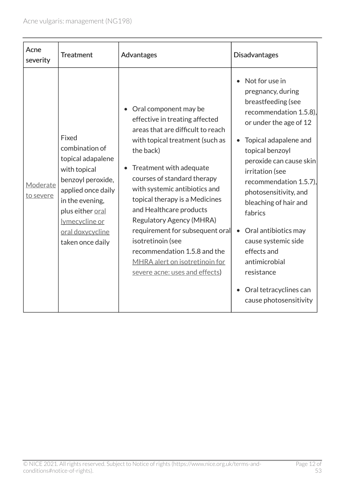| Acne<br>severity      | <b>Treatment</b>                                                                                                                                                                                         | Advantages                                                                                                                                                                                                                                                                                                                                                                                                                                                                                          | <b>Disadvantages</b>                                                                                                                                                                                                                                                                                                                                                                                                                                            |
|-----------------------|----------------------------------------------------------------------------------------------------------------------------------------------------------------------------------------------------------|-----------------------------------------------------------------------------------------------------------------------------------------------------------------------------------------------------------------------------------------------------------------------------------------------------------------------------------------------------------------------------------------------------------------------------------------------------------------------------------------------------|-----------------------------------------------------------------------------------------------------------------------------------------------------------------------------------------------------------------------------------------------------------------------------------------------------------------------------------------------------------------------------------------------------------------------------------------------------------------|
| Moderate<br>to severe | Fixed<br>combination of<br>topical adapalene<br>with topical<br>benzoyl peroxide,<br>applied once daily<br>in the evening,<br>plus either oral<br>lymecycline or<br>oral doxycycline<br>taken once daily | Oral component may be<br>effective in treating affected<br>areas that are difficult to reach<br>with topical treatment (such as<br>the back)<br>Treatment with adequate<br>courses of standard therapy<br>with systemic antibiotics and<br>topical therapy is a Medicines<br>and Healthcare products<br><b>Regulatory Agency (MHRA)</b><br>requirement for subsequent oral<br>isotretinoin (see<br>recommendation 1.5.8 and the<br>MHRA alert on isotretinoin for<br>severe acne: uses and effects) | Not for use in<br>pregnancy, during<br>breastfeeding (see<br>recommendation $1.5.8$ ),<br>or under the age of 12<br>Topical adapalene and<br>topical benzoyl<br>peroxide can cause skin<br>irritation (see<br>recommendation 1.5.7),<br>photosensitivity, and<br>bleaching of hair and<br>fabrics<br>Oral antibiotics may<br>$\bullet$<br>cause systemic side<br>effects and<br>antimicrobial<br>resistance<br>Oral tetracyclines can<br>cause photosensitivity |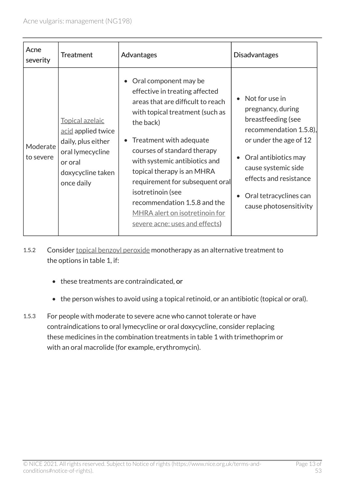| Acne<br>severity      | <b>Treatment</b>                                                                                                              | Advantages                                                                                                                                                                                                                                                                                                                                                                                                                               | <b>Disadvantages</b>                                                                                                                                                                                                                                                    |
|-----------------------|-------------------------------------------------------------------------------------------------------------------------------|------------------------------------------------------------------------------------------------------------------------------------------------------------------------------------------------------------------------------------------------------------------------------------------------------------------------------------------------------------------------------------------------------------------------------------------|-------------------------------------------------------------------------------------------------------------------------------------------------------------------------------------------------------------------------------------------------------------------------|
| Moderate<br>to severe | Topical azelaic<br>acid applied twice<br>daily, plus either<br>oral lymecycline<br>or oral<br>doxycycline taken<br>once daily | Oral component may be<br>effective in treating affected<br>areas that are difficult to reach<br>with topical treatment (such as<br>the back)<br>Treatment with adequate<br>courses of standard therapy<br>with systemic antibiotics and<br>topical therapy is an MHRA<br>requirement for subsequent oral<br>isotretinoin (see<br>recommendation 1.5.8 and the<br><b>MHRA</b> alert on isotretinoin for<br>severe acne: uses and effects) | Not for use in<br>$\bullet$<br>pregnancy, during<br>breastfeeding (see<br>recommendation $1.5.8$ ),<br>or under the age of 12<br>Oral antibiotics may<br>$\bullet$<br>cause systemic side<br>effects and resistance<br>Oral tetracyclines can<br>cause photosensitivity |

1.5.2 Consider [topical benzoyl peroxide](#page-25-1) monotherapy as an alternative treatment to the options in table 1, if:

- these treatments are contraindicated, or
- the person wishes to avoid using a topical retinoid, or an antibiotic (topical or oral).
- 1.5.3 For people with moderate to severe acne who cannot tolerate or have contraindications to oral lymecycline or oral doxycycline, consider replacing these medicines in the combination treatments in table 1 with trimethoprim or with an oral macrolide (for example, erythromycin).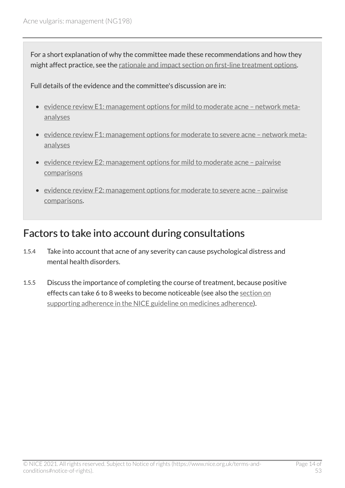For a short explanation of why the committee made these recommendations and how they might affect practice, see the [rationale and impact section on first-line treatment options](#page-35-0).

Full details of the evidence and the committee's discussion are in:

- evidence review [E1: management options for mild to moderate acne network meta](https://www.nice.org.uk/guidance/ng198/evidence/e1-management-options-for-mild-to-moderate-acne-network-metaanalyses-pdf-9144159953)[analyses](https://www.nice.org.uk/guidance/ng198/evidence/e1-management-options-for-mild-to-moderate-acne-network-metaanalyses-pdf-9144159953)
- [evidence review F1: management options for moderate to severe acne network meta](https://www.nice.org.uk/guidance/ng198/evidence/f1-management-options-for-moderate-to-severe-acne-network-metaanalyses-pdf-9144159955)[analyses](https://www.nice.org.uk/guidance/ng198/evidence/f1-management-options-for-moderate-to-severe-acne-network-metaanalyses-pdf-9144159955)
- evidence review E2: management options for mild to moderate acne pairwise [comparisons](https://www.nice.org.uk/guidance/ng198/evidence/e2-management-options-for-mild-to-moderate-acne-pairwise-comparisons-pdf-9144159954)
- [evidence review F2: management options for moderate to severe acne pairwise](https://www.nice.org.uk/guidance/ng198/evidence/f2-management-options-for-moderate-to-severe-acne-pairwise-comparisons-pdf-9144159956)  [comparisons.](https://www.nice.org.uk/guidance/ng198/evidence/f2-management-options-for-moderate-to-severe-acne-pairwise-comparisons-pdf-9144159956)

#### <span id="page-13-0"></span>Factors to take into account during consultations

- 1.5.4 Take into account that acne of any severity can cause psychological distress and mental health disorders.
- 1.5.5 Discuss the importance of completing the course of treatment, because positive effects can take 6 to 8 weeks to become noticeable (see also the [section on](https://www.nice.org.uk/guidance/cg76/chapter/1-Guidance#supporting-adherence)  [supporting adherence in the NICE guideline on medicines adherence\)](https://www.nice.org.uk/guidance/cg76/chapter/1-Guidance#supporting-adherence).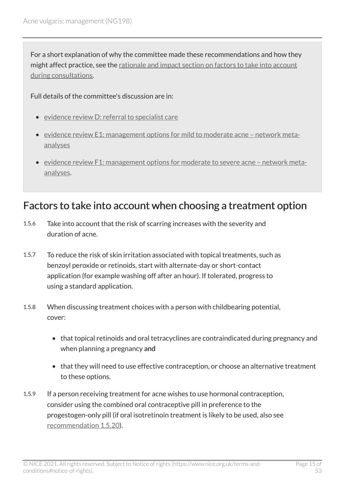For a short explanation of why the committee made these recommendations and how they might affect practice, see the [rationale and impact section on factors to take into account](#page-37-0) [during consultations.](#page-37-0)

#### Full details of the committee's discussion are in:

- evidence review [D: referral to specialist care](https://www.nice.org.uk/guidance/ng198/evidence/d-referral-to-specialist-care-pdf-9144159952)
- evidence review [E1: management options for mild to moderate acne network meta](https://www.nice.org.uk/guidance/ng198/evidence/e1-management-options-for-mild-to-moderate-acne-network-metaanalyses-pdf-9144159953)[analyses](https://www.nice.org.uk/guidance/ng198/evidence/e1-management-options-for-mild-to-moderate-acne-network-metaanalyses-pdf-9144159953)
- [evidence review F1: management options for moderate to severe acne network meta](https://www.nice.org.uk/guidance/ng198/evidence/f1-management-options-for-moderate-to-severe-acne-network-metaanalyses-pdf-9144159955)[analyses.](https://www.nice.org.uk/guidance/ng198/evidence/f1-management-options-for-moderate-to-severe-acne-network-metaanalyses-pdf-9144159955)

#### <span id="page-14-0"></span>Factors to take into account when choosing a treatment option

- 1.5.6 Take into account that the risk of scarring increases with the severity and duration of acne.
- 1.5.7 To reduce the risk of skin irritation associated with topical treatments, such as benzoyl peroxide or retinoids, start with alternate-day or short-contact application (for example washing off after an hour). If tolerated, progress to using a standard application.
- 1.5.8 When discussing treatment choices with a person with childbearing potential, cover:
	- that topical retinoids and oral tetracyclines are contraindicated during pregnancy and when planning a pregnancy and
	- that they will need to use effective contraception, or choose an alternative treatment to these options.
- 1.5.9 If a person receiving treatment for acne wishes to use hormonal contraception, consider using the combined oral contraceptive pill in preference to the progestogen-only pill (if oral isotretinoin treatment is likely to be used, also see [recommendation 1.5.20](#page-17-0)).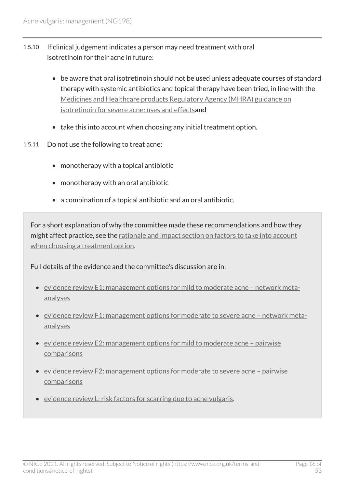- 1.5.10 If clinical judgement indicates a person may need treatment with oral isotretinoin for their acne in future:
	- be aware that oral isotretinoin should not be used unless adequate courses of standard therapy with systemic antibiotics and topical therapy have been tried, in line with the [Medicines and Healthcare products Regulatory Agency \(MHRA\) guidance on](https://www.gov.uk/government/publications/isotretinoin-for-severe-acne-uses-and-effects/isotretinoin-for-severe-acne-uses-and-effects)  [isotretinoin for severe acne: uses and effects](https://www.gov.uk/government/publications/isotretinoin-for-severe-acne-uses-and-effects/isotretinoin-for-severe-acne-uses-and-effects)and
	- take this into account when choosing any initial treatment option.
- 1.5.11 Do not use the following to treat acne:
	- monotherapy with a topical antibiotic
	- monotherapy with an oral antibiotic
	- a combination of a topical antibiotic and an oral antibiotic.

For a short explanation of why the committee made these recommendations and how they might affect practice, see the [rationale and impact section on factors to take into account](#page-38-0) [when choosing a treatment option](#page-38-0).

Full details of the evidence and the committee's discussion are in:

- evidence review [E1: management options for mild to moderate acne network meta](https://www.nice.org.uk/guidance/ng198/evidence/e1-management-options-for-mild-to-moderate-acne-network-metaanalyses-pdf-9144159953)[analyses](https://www.nice.org.uk/guidance/ng198/evidence/e1-management-options-for-mild-to-moderate-acne-network-metaanalyses-pdf-9144159953)
- evidence review [F1: management options for moderate to severe acne network meta](https://www.nice.org.uk/guidance/ng198/evidence/f1-management-options-for-moderate-to-severe-acne-network-metaanalyses-pdf-9144159955)[analyses](https://www.nice.org.uk/guidance/ng198/evidence/f1-management-options-for-moderate-to-severe-acne-network-metaanalyses-pdf-9144159955)
- evidence review E2: management options for mild to moderate acne pairwise [comparisons](https://www.nice.org.uk/guidance/ng198/evidence/e2-management-options-for-mild-to-moderate-acne-pairwise-comparisons-pdf-9144159954)
- evidence review [F2: management options for moderate to severe acne pairwise](https://www.nice.org.uk/guidance/ng198/evidence/f2-management-options-for-moderate-to-severe-acne-pairwise-comparisons-pdf-9144159956)  [comparisons](https://www.nice.org.uk/guidance/ng198/evidence/f2-management-options-for-moderate-to-severe-acne-pairwise-comparisons-pdf-9144159956)
- evidence review [L: risk factors for scarring due to acne vulgaris](https://www.nice.org.uk/guidance/ng198/evidence/l-risk-factors-for-scarring-due-to-acne-vulgaris-pdf-329189758168).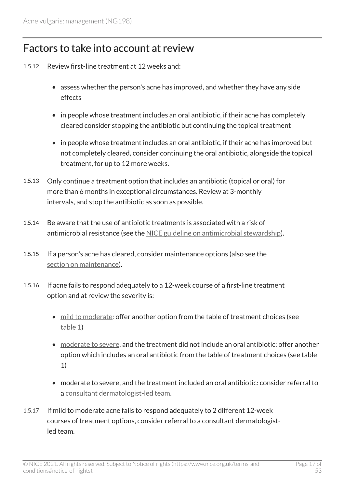#### <span id="page-16-0"></span>Factors to take into account at review

- 1.5.12 Review first-line treatment at 12 weeks and:
	- assess whether the person's acne has improved, and whether they have any side effects
	- in people whose treatment includes an oral antibiotic, if their acne has completely cleared consider stopping the antibiotic but continuing the topical treatment
	- in people whose treatment includes an oral antibiotic, if their acne has improved but not completely cleared, consider continuing the oral antibiotic, alongside the topical treatment, for up to 12 more weeks.
- 1.5.13 Only continue a treatment option that includes an antibiotic (topical or oral) for more than 6 months in exceptional circumstances. Review at 3-monthly intervals, and stop the antibiotic as soon as possible.
- 1.5.14 Be aware that the use of antibiotic treatments is associated with a risk of antimicrobial resistance (see the [NICE guideline on antimicrobial stewardship\)](https://www.nice.org.uk/guidance/ng15).
- 1.5.15 If a person's acne has cleared, consider maintenance options (also see the [section on maintenance\)](#page-21-0).
- 1.5.16 If acne fails to respond adequately to a 12-week course of a first-line treatment option and at review the severity is:
	- [mild to moderate](#page-24-1): offer another option from the table of treatment choices (see [table](#page-9-0) 1)
	- [moderate to severe](#page-24-2), and the treatment did not include an oral antibiotic: offer another option which includes an oral antibiotic from the table of treatment choices (see table 1)
	- moderate to severe, and the treatment included an oral antibiotic: consider referral to a [consultant dermatologist-led team.](#page-23-3)
- 1.5.17 If mild to moderate acne fails to respond adequately to 2 different 12-week courses of treatment options, consider referral to a consultant dermatologistled team.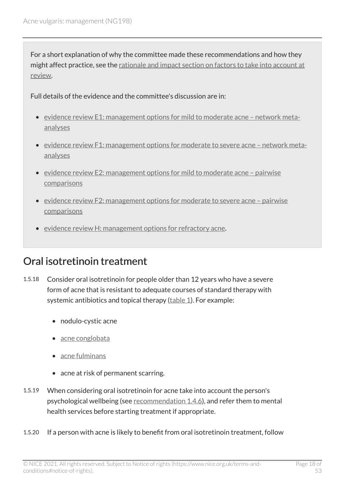For a short explanation of why the committee made these recommendations and how they might affect practice, see the [rationale and impact section on factors to take into account at](#page-40-0)  [review](#page-40-0).

Full details of the evidence and the committee's discussion are in:

- evidence review [E1: management options for mild to moderate acne network meta](https://www.nice.org.uk/guidance/ng198/evidence/e1-management-options-for-mild-to-moderate-acne-network-metaanalyses-pdf-9144159953)[analyses](https://www.nice.org.uk/guidance/ng198/evidence/e1-management-options-for-mild-to-moderate-acne-network-metaanalyses-pdf-9144159953)
- evidence review [F1: management options for moderate to severe acne network meta](https://www.nice.org.uk/guidance/ng198/evidence/f1-management-options-for-moderate-to-severe-acne-network-metaanalyses-pdf-9144159955)[analyses](https://www.nice.org.uk/guidance/ng198/evidence/f1-management-options-for-moderate-to-severe-acne-network-metaanalyses-pdf-9144159955)
- evidence review [E2: management options for mild to moderate acne pairwise](https://www.nice.org.uk/guidance/ng198/evidence/e2-management-options-for-mild-to-moderate-acne-pairwise-comparisons-pdf-9144159954)  [comparisons](https://www.nice.org.uk/guidance/ng198/evidence/e2-management-options-for-mild-to-moderate-acne-pairwise-comparisons-pdf-9144159954)
- evidence review [F2: management options for moderate to severe acne pairwise](https://www.nice.org.uk/guidance/ng198/evidence/f2-management-options-for-moderate-to-severe-acne-pairwise-comparisons-pdf-9144159956)  [comparisons](https://www.nice.org.uk/guidance/ng198/evidence/f2-management-options-for-moderate-to-severe-acne-pairwise-comparisons-pdf-9144159956)
- evidence review [H: management options for refractory acne.](https://www.nice.org.uk/guidance/ng198/evidence/h-management-options-for-refractory-acne-pdf-329189758164)

### <span id="page-17-0"></span>Oral isotretinoin treatment

- 1.5.18 Consider oral isotretinoin for people older than 12 years who have a severe form of acne that is resistant to adequate courses of standard therapy with systemic antibiotics and topical therapy [\(table](#page-9-0) 1). For example:
	- nodulo-cystic acne
	- [acne conglobata](#page-23-4)
	- [acne fulminans](#page-23-2)
	- acne at risk of permanent scarring.
- 1.5.19 When considering oral isotretinoin for acne take into account the person's psychological wellbeing (see [recommendation](#page-7-1) 1.4.6), and refer them to mental health services before starting treatment if appropriate.
- 1.5.20 If a person with acne is likely to benefit from oral isotretinoin treatment, follow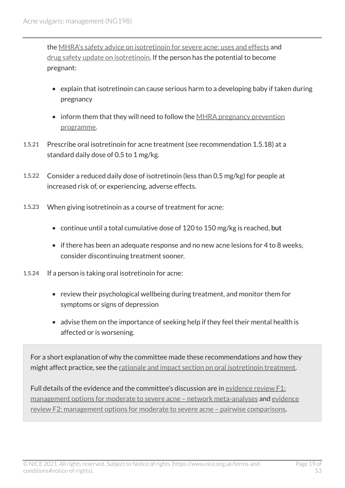the [MHRA's safety advice on isotretinoin for severe acne: uses and effects](https://www.gov.uk/government/publications/isotretinoin-for-severe-acne-uses-and-effects/isotretinoin-for-severe-acne-uses-and-effects) and [drug safety update on isotretinoin](https://www.gov.uk/drug-safety-update/isotretinoin-roaccutane-reminder-of-important-risks-and-precautions). If the person has the potential to become pregnant:

- explain that isotretinoin can cause serious harm to a developing baby if taken during pregnancy
- inform them that they will need to follow the MHRA pregnancy prevention [programme.](https://www.gov.uk/drug-safety-update/oral-retinoid-medicines-revised-and-simplified-pregnancy-prevention-educational-materials-for-healthcare-professionals-and-women)
- 1.5.21 Prescribe oral isotretinoin for acne treatment (see recommendation 1.5.18) at a standard daily dose of 0.5 to 1 mg/kg.
- 1.5.22 Consider a reduced daily dose of isotretinoin (less than 0.5 mg/kg) for people at increased risk of, or experiencing, adverse effects.
- 1.5.23 When giving isotretinoin as a course of treatment for acne:
	- continue until a total cumulative dose of 120 to 150 mg/kg is reached, but
	- if there has been an adequate response and no new acne lesions for 4 to 8 weeks, consider discontinuing treatment sooner.
- 1.5.24 If a person is taking oral isotretinoin for acne:
	- review their psychological wellbeing during treatment, and monitor them for symptoms or signs of depression
	- advise them on the importance of seeking help if they feel their mental health is affected or is worsening.

For a short explanation of why the committee made these recommendations and how they might affect practice, see the [rationale and impact section on oral isotretinoin treatment](#page-42-0).

Full details of the evidence and the committee's discussion are in [evidence review](https://www.nice.org.uk/guidance/ng198/evidence/f1-management-options-for-moderate-to-severe-acne-network-metaanalyses-pdf-9144159955) F1: [management options for moderate to severe acne – network meta-analyses](https://www.nice.org.uk/guidance/ng198/evidence/f1-management-options-for-moderate-to-severe-acne-network-metaanalyses-pdf-9144159955) and [evidence](https://www.nice.org.uk/guidance/ng198/evidence/f2-management-options-for-moderate-to-severe-acne-pairwise-comparisons-pdf-9144159956) [review F2: management options for moderate to severe acne – pairwise comparisons](https://www.nice.org.uk/guidance/ng198/evidence/f2-management-options-for-moderate-to-severe-acne-pairwise-comparisons-pdf-9144159956).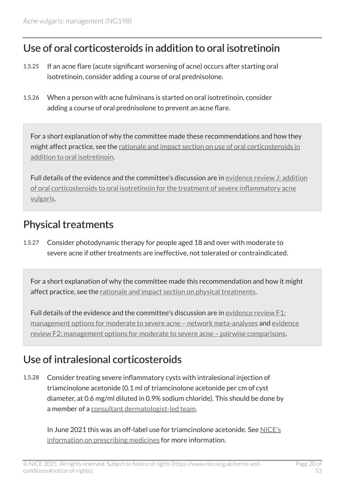#### <span id="page-19-0"></span>Use of oral corticosteroids in addition to oral isotretinoin

- 1.5.25 If an acne flare (acute significant worsening of acne) occurs after starting oral isotretinoin, consider adding a course of oral prednisolone.
- 1.5.26 When a person with acne fulminans is started on oral isotretinoin, consider adding a course of oral prednisolone to prevent an acne flare.

For a short explanation of why the committee made these recommendations and how they might affect practice, see the [rationale and impact section on use of oral corticosteroids in](#page-43-0) [addition to oral isotretinoin.](#page-43-0)

Full details of the evidence and the committee's discussion are in [evidence review](https://www.nice.org.uk/guidance/ng198/evidence/j-addition-of-oral-corticosteroids-to-oral-isotretinoin-for-the-treatment-of-severe-inflammatory-acne-vulgaris-pdf-329189758166) J: addition [of oral corticosteroids to oral isotretinoin for the treatment of severe inflammatory acne](https://www.nice.org.uk/guidance/ng198/evidence/j-addition-of-oral-corticosteroids-to-oral-isotretinoin-for-the-treatment-of-severe-inflammatory-acne-vulgaris-pdf-329189758166) [vulgaris.](https://www.nice.org.uk/guidance/ng198/evidence/j-addition-of-oral-corticosteroids-to-oral-isotretinoin-for-the-treatment-of-severe-inflammatory-acne-vulgaris-pdf-329189758166)

### <span id="page-19-1"></span>Physical treatments

1.5.27 Consider photodynamic therapy for people aged 18 and over with moderate to severe acne if other treatments are ineffective, not tolerated or contraindicated.

For a short explanation of why the committee made this recommendation and how it might affect practice, see the [rationale and impact section on physical treatments](#page-44-0).

Full details of the evidence and the committee's discussion are in [evidence review](https://www.nice.org.uk/guidance/ng198/evidence/f1-management-options-for-moderate-to-severe-acne-network-metaanalyses-pdf-9144159955) F1: [management options for moderate to severe acne – network meta-analyses](https://www.nice.org.uk/guidance/ng198/evidence/f1-management-options-for-moderate-to-severe-acne-network-metaanalyses-pdf-9144159955) and [evidence](https://www.nice.org.uk/guidance/ng198/evidence/f2-management-options-for-moderate-to-severe-acne-pairwise-comparisons-pdf-9144159956) [review F2: management options for moderate to severe acne – pairwise comparisons](https://www.nice.org.uk/guidance/ng198/evidence/f2-management-options-for-moderate-to-severe-acne-pairwise-comparisons-pdf-9144159956).

### <span id="page-19-2"></span>Use of intralesional corticosteroids

1.5.28 Consider treating severe inflammatory cysts with intralesional injection of triamcinolone acetonide (0.1 ml of triamcinolone acetonide per cm of cyst diameter, at 0.6 mg/ml diluted in 0.9% sodium chloride). This should be done by a member of a [consultant dermatologist-led team.](#page-23-3)

In June 2021 this was an off-label use for triamcinolone acetonide. See [NICE's](https://www.nice.org.uk/about/what-we-do/our-programmes/nice-guidance/nice-guidelines/making-decisions-using-nice-guidelines#prescribing-medicines) [information on prescribing medicines](https://www.nice.org.uk/about/what-we-do/our-programmes/nice-guidance/nice-guidelines/making-decisions-using-nice-guidelines#prescribing-medicines) for more information.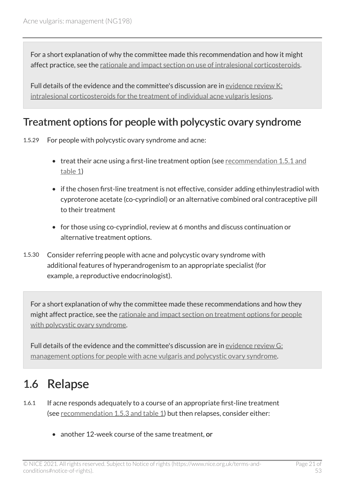For a short explanation of why the committee made this recommendation and how it might affect practice, see the [rationale and impact section on use of intralesional corticosteroids](#page-45-0).

Full details of the evidence and the committee's discussion are in [evidence review](https://www.nice.org.uk/guidance/ng198/evidence/k-intralesional-corticosteroids-for-the-treatment-of-individual-acne-vulgaris-lesions-pdf-329189758167) K: [intralesional corticosteroids for the treatment of individual acne vulgaris lesions.](https://www.nice.org.uk/guidance/ng198/evidence/k-intralesional-corticosteroids-for-the-treatment-of-individual-acne-vulgaris-lesions-pdf-329189758167)

#### <span id="page-20-1"></span>Treatment options for people with polycystic ovary syndrome

1.5.29 For people with polycystic ovary syndrome and acne:

- treat their acne using a first-line treatment option (see [recommendation](#page-9-0) 1.5.1 and [table](#page-9-0) 1)
- if the chosen first-line treatment is not effective, consider adding ethinylestradiol with cyproterone acetate (co-cyprindiol) or an alternative combined oral contraceptive pill to their treatment
- for those using co-cyprindiol, review at 6 months and discuss continuation or alternative treatment options.
- 1.5.30 Consider referring people with acne and polycystic ovary syndrome with additional features of hyperandrogenism to an appropriate specialist (for example, a reproductive endocrinologist).

For a short explanation of why the committee made these recommendations and how they might affect practice, see the [rationale and impact section on treatment options for people](#page-46-0) [with polycystic ovary syndrome.](#page-46-0)

Full details of the evidence and the committee's discussion are in [evidence review](https://www.nice.org.uk/guidance/ng198/evidence/g-management-options-for-people-with-acne-vulgaris-and-polycystic-ovary-syndrome-pdf-9144159957) G: [management options for people with acne vulgaris and polycystic ovary syndrome](https://www.nice.org.uk/guidance/ng198/evidence/g-management-options-for-people-with-acne-vulgaris-and-polycystic-ovary-syndrome-pdf-9144159957).

### <span id="page-20-0"></span>1.6 Relapse

- 1.6.1 If acne responds adequately to a course of an appropriate first-line treatment (see [recommendation](#page-9-0) 1.5.3 and table 1) but then relapses, consider either:
	- another 12-week course of the same treatment, or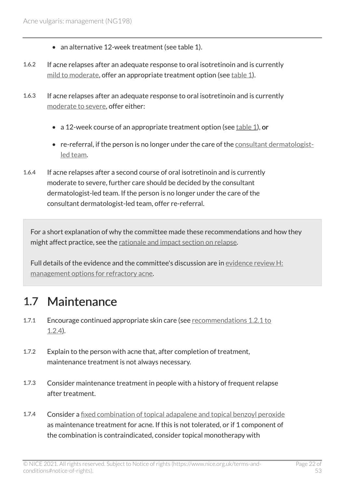- an alternative 12-week treatment (see table 1).
- 1.6.2 If acne relapses after an adequate response to oral isotretinoin and is currently [mild to moderate,](#page-24-1) offer an appropriate treatment option (see [table](#page-9-0) 1).
- 1.6.3 If acne relapses after an adequate response to oral isotretinoin and is currently [moderate to severe,](#page-24-2) offer either:
	- a 12-week course of an appropriate treatment option (see  $table 1$  $table 1$ ), or
	- re-referral, if the person is no longer under the care of the [consultant dermatologist](#page-23-3)[led team.](#page-23-3)
- 1.6.4 If acne relapses after a second course of oral isotretinoin and is currently moderate to severe, further care should be decided by the consultant dermatologist-led team. If the person is no longer under the care of the consultant dermatologist-led team, offer re-referral.

For a short explanation of why the committee made these recommendations and how they might affect practice, see the [rationale and impact section on relapse.](#page-47-0)

Full details of the evidence and the committee's discussion are in [evidence review](https://www.nice.org.uk/guidance/ng198/evidence/h-management-options-for-refractory-acne-pdf-329189758164) H: [management options for refractory acne.](https://www.nice.org.uk/guidance/ng198/evidence/h-management-options-for-refractory-acne-pdf-329189758164)

### <span id="page-21-0"></span>1.7 Maintenance

- 1.7.1 Encourage continued appropriate skin care (see [recommendations](#page-6-0) 1.2.1 to [1.2.4](#page-6-0)).
- 1.7.2 Explain to the person with acne that, after completion of treatment, maintenance treatment is not always necessary.
- 1.7.3 Consider maintenance treatment in people with a history of frequent relapse after treatment.
- 1.7.4 Consider a [fixed combination of topical adapalene and topical benzoyl peroxide](#page-23-5)  as maintenance treatment for acne. If this is not tolerated, or if 1 component of the combination is contraindicated, consider topical monotherapy with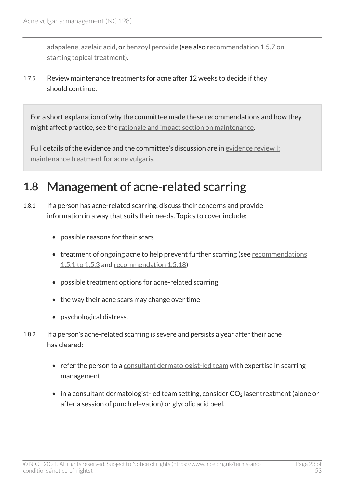[adapalene](#page-25-2), [azelaic acid,](#page-25-0) or [benzoyl peroxide](#page-25-1) (see also [recommendation 1.5.7 on](#page-14-0)  [starting topical treatment\)](#page-14-0).

1.7.5 Review maintenance treatments for acne after 12 weeks to decide if they should continue.

For a short explanation of why the committee made these recommendations and how they might affect practice, see the [rationale and impact section on maintenance](#page-48-0).

Full details of the evidence and the committee's discussion are in [evidence review](https://www.nice.org.uk/guidance/ng198/evidence/i-maintenance-treatment-for-acne-vulgaris-pdf-329189758165) I: [maintenance treatment for acne vulgaris.](https://www.nice.org.uk/guidance/ng198/evidence/i-maintenance-treatment-for-acne-vulgaris-pdf-329189758165)

### <span id="page-22-0"></span>1.8 Management of acne-related scarring

- 1.8.1 If a person has acne-related scarring, discuss their concerns and provide information in a way that suits their needs. Topics to cover include:
	- possible reasons for their scars
	- treatment of ongoing acne to help prevent further scarring (see [recommendations](#page-9-0) [1.5.1 to 1.5.3](#page-9-0) and [recommendation 1.5.18](#page-17-0))
	- possible treatment options for acne-related scarring
	- the way their acne scars may change over time
	- psychological distress.
- 1.8.2 If a person's acne-related scarring is severe and persists a year after their acne has cleared:
	- refer the person to a [consultant dermatologist-led team](#page-23-3) with expertise in scarring management
	- in a consultant dermatologist-led team setting, consider  $CO<sub>2</sub>$  laser treatment (alone or after a session of punch elevation) or glycolic acid peel.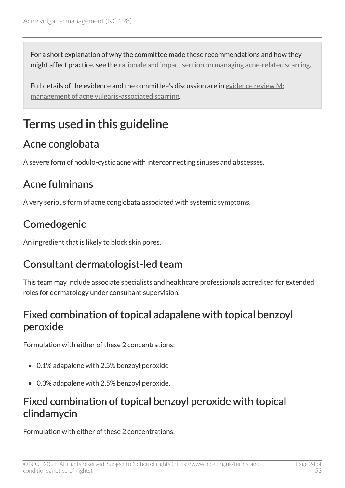For a short explanation of why the committee made these recommendations and how they might affect practice, see the [rationale and impact section on managing acne-related scarring.](#page-49-0)

Full details of the evidence and the committee's discussion are in [evidence review](https://www.nice.org.uk/guidance/ng198/evidence/m-management-of-acne-vulgarisassociated-scarring-pdf-329189758169) M: [management of acne vulgaris-associated scarring](https://www.nice.org.uk/guidance/ng198/evidence/m-management-of-acne-vulgarisassociated-scarring-pdf-329189758169).

### <span id="page-23-0"></span>Terms used in this guideline

### <span id="page-23-4"></span>Acne conglobata

A severe form of nodulo-cystic acne with interconnecting sinuses and abscesses.

### <span id="page-23-2"></span>Acne fulminans

A very serious form of acne conglobata associated with systemic symptoms.

### <span id="page-23-1"></span>Comedogenic

An ingredient that is likely to block skin pores.

### <span id="page-23-3"></span>Consultant dermatologist-led team

This team may include associate specialists and healthcare professionals accredited for extended roles for dermatology under consultant supervision.

### <span id="page-23-5"></span>Fixed combination of topical adapalene with topical benzoyl peroxide

Formulation with either of these 2 concentrations:

- 0.1% adapalene with 2.5% benzoyl peroxide
- 0.3% adapalene with 2.5% benzoyl peroxide.

### <span id="page-23-6"></span>Fixed combination of topical benzoyl peroxide with topical clindamycin

Formulation with either of these 2 concentrations: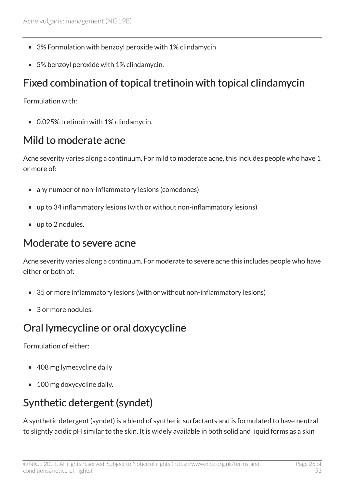- 3% Formulation with benzoyl peroxide with 1% clindamycin
- 5% benzoyl peroxide with 1% clindamycin.

### <span id="page-24-3"></span>Fixed combination of topical tretinoin with topical clindamycin

Formulation with:

• 0.025% tretinoin with 1% clindamycin.

### <span id="page-24-1"></span>Mild to moderate acne

Acne severity varies along a continuum. For mild to moderate acne, this includes people who have 1 or more of:

- any number of non-inflammatory lesions (comedones)
- up to 34 inflammatory lesions (with or without non-inflammatory lesions)
- up to 2 nodules.

#### <span id="page-24-2"></span>Moderate to severe acne

Acne severity varies along a continuum. For moderate to severe acne this includes people who have either or both of:

- 35 or more inflammatory lesions (with or without non-inflammatory lesions)
- 3 or more nodules.

### <span id="page-24-4"></span>Oral lymecycline or oral doxycycline

Formulation of either:

- 408 mg lymecycline daily
- 100 mg doxycycline daily.

### <span id="page-24-0"></span>Synthetic detergent (syndet)

A synthetic detergent (syndet) is a blend of synthetic surfactants and is formulated to have neutral to slightly acidic pH similar to the skin. It is widely available in both solid and liquid forms as a skin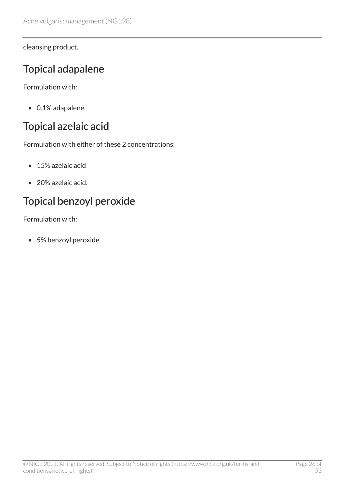cleansing product.

### <span id="page-25-2"></span>Topical adapalene

Formulation with:

• 0.1% adapalene.

### <span id="page-25-0"></span>Topical azelaic acid

Formulation with either of these 2 concentrations:

- 15% azelaic acid
- 20% azelaic acid.

### <span id="page-25-1"></span>Topical benzoyl peroxide

Formulation with:

• 5% benzoyl peroxide.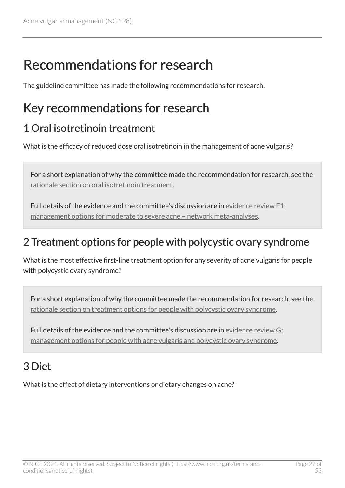### <span id="page-26-0"></span>Recommendations for research

The guideline committee has made the following recommendations for research.

### <span id="page-26-1"></span>Key recommendations for research

### <span id="page-26-3"></span>1 Oral isotretinoin treatment

What is the efficacy of reduced dose oral isotretinoin in the management of acne vulgaris?

For a short explanation of why the committee made the recommendation for research, see the [rationale section on oral isotretinoin treatment.](#page-42-0)

Full details of the evidence and the committee's discussion are in [evidence review](https://www.nice.org.uk/guidance/ng198/evidence/f1-management-options-for-moderate-to-severe-acne-network-metaanalyses-pdf-9144159955) F1: [management options for moderate to severe acne – network meta-analyses](https://www.nice.org.uk/guidance/ng198/evidence/f1-management-options-for-moderate-to-severe-acne-network-metaanalyses-pdf-9144159955).

### <span id="page-26-4"></span>2 Treatment options for people with polycystic ovary syndrome

What is the most effective first-line treatment option for any severity of acne vulgaris for people with polycystic ovary syndrome?

For a short explanation of why the committee made the recommendation for research, see the [rationale section on treatment options for people with polycystic ovary syndrome](#page-46-0).

Full details of the evidence and the committee's discussion are in [evidence review](https://www.nice.org.uk/guidance/ng198/evidence/f1-management-options-for-moderate-to-severe-acne-network-metaanalyses-pdf-9144159955) G: [management options for people with acne vulgaris and polycystic ovary syndrome](https://www.nice.org.uk/guidance/ng198/evidence/f1-management-options-for-moderate-to-severe-acne-network-metaanalyses-pdf-9144159955).

### <span id="page-26-2"></span>3 Diet

What is the effect of dietary interventions or dietary changes on acne?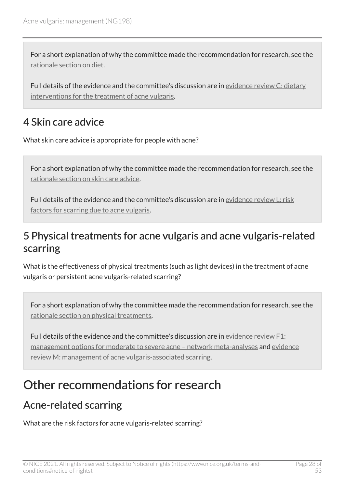For a short explanation of why the committee made the recommendation for research, see the [rationale section on diet.](#page-32-0)

Full details of the evidence and the committee's discussion are in [evidence review](https://www.nice.org.uk/guidance/ng198/evidence/c-dietary-interventions-for-the-treatment-of-acne-vulgaris-pdf-9144159951) C: dietary [interventions for the treatment of acne vulgaris](https://www.nice.org.uk/guidance/ng198/evidence/c-dietary-interventions-for-the-treatment-of-acne-vulgaris-pdf-9144159951).

### <span id="page-27-2"></span>4 Skin care advice

What skin care advice is appropriate for people with acne?

For a short explanation of why the committee made the recommendation for research, see the [rationale section on skin care advice.](#page-31-0)

Full details of the evidence and the committee's discussion are in [evidence review](https://www.nice.org.uk/guidance/ng198/evidence/l-risk-factors-for-scarring-due-to-acne-vulgaris-pdf-329189758168) L: risk [factors for scarring due to acne vulgaris](https://www.nice.org.uk/guidance/ng198/evidence/l-risk-factors-for-scarring-due-to-acne-vulgaris-pdf-329189758168).

### <span id="page-27-3"></span>5 Physical treatments for acne vulgaris and acne vulgaris-related scarring

What is the effectiveness of physical treatments (such as light devices) in the treatment of acne vulgaris or persistent acne vulgaris-related scarring?

For a short explanation of why the committee made the recommendation for research, see the [rationale section on physical treatments](#page-44-0).

Full details of the evidence and the committee's discussion are in [evidence review F1:](https://www.nice.org.uk/guidance/ng198/evidence/f1-management-options-for-moderate-to-severe-acne-network-metaanalyses-pdf-9144159955) [management options for moderate to severe acne – network meta-analyses](https://www.nice.org.uk/guidance/ng198/evidence/f1-management-options-for-moderate-to-severe-acne-network-metaanalyses-pdf-9144159955) and [evidence](https://www.nice.org.uk/guidance/ng198/evidence/m-management-of-acne-vulgarisassociated-scarring-pdf-329189758169) [review M: management of acne vulgaris-associated scarring](https://www.nice.org.uk/guidance/ng198/evidence/m-management-of-acne-vulgarisassociated-scarring-pdf-329189758169).

### <span id="page-27-0"></span>Other recommendations for research

### <span id="page-27-1"></span>Acne-related scarring

What are the risk factors for acne vulgaris-related scarring?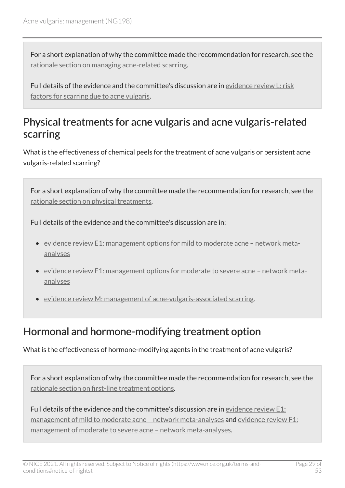For a short explanation of why the committee made the recommendation for research, see the [rationale section on managing acne-related scarring](#page-49-0).

Full details of the evidence and the committee's discussion are in [evidence review](https://www.nice.org.uk/guidance/ng198/evidence/l-risk-factors-for-scarring-due-to-acne-vulgaris-pdf-329189758168) L: risk [factors for scarring due to acne vulgaris](https://www.nice.org.uk/guidance/ng198/evidence/l-risk-factors-for-scarring-due-to-acne-vulgaris-pdf-329189758168).

#### <span id="page-28-0"></span>Physical treatments for acne vulgaris and acne vulgaris-related scarring

What is the effectiveness of chemical peels for the treatment of acne vulgaris or persistent acne vulgaris-related scarring?

For a short explanation of why the committee made the recommendation for research, see the [rationale section on physical treatments](#page-44-0).

Full details of the evidence and the committee's discussion are in:

- evidence review [E1: management options for mild to moderate acne network meta](https://www.nice.org.uk/guidance/ng198/evidence/e1-management-options-for-mild-to-moderate-acne-network-metaanalyses-pdf-9144159953)[analyses](https://www.nice.org.uk/guidance/ng198/evidence/e1-management-options-for-mild-to-moderate-acne-network-metaanalyses-pdf-9144159953)
- [evidence review F1: management options for moderate to severe acne network meta](https://www.nice.org.uk/guidance/ng198/evidence/f1-management-options-for-moderate-to-severe-acne-network-metaanalyses-pdf-9144159955)[analyses](https://www.nice.org.uk/guidance/ng198/evidence/f1-management-options-for-moderate-to-severe-acne-network-metaanalyses-pdf-9144159955)
- [evidence review M: management of acne-vulgaris-associated scarring.](https://www.nice.org.uk/guidance/ng198/evidence/m-management-of-acne-vulgarisassociated-scarring-pdf-329189758169)

#### Hormonal and hormone-modifying treatment option

What is the effectiveness of hormone-modifying agents in the treatment of acne vulgaris?

For a short explanation of why the committee made the recommendation for research, see the [rationale section on first-line treatment options](#page-35-0).

Full details of the evidence and the committee's discussion are in [evidence review](https://www.nice.org.uk/guidance/ng198/evidence/e1-management-options-for-mild-to-moderate-acne-network-metaanalyses-pdf-9144159953) E1: management of mild to moderate acne - network meta-analyses and evidence review F1: [management of moderate to severe acne – network meta-analyses.](https://www.nice.org.uk/guidance/ng198/evidence/f1-management-options-for-moderate-to-severe-acne-network-metaanalyses-pdf-9144159955)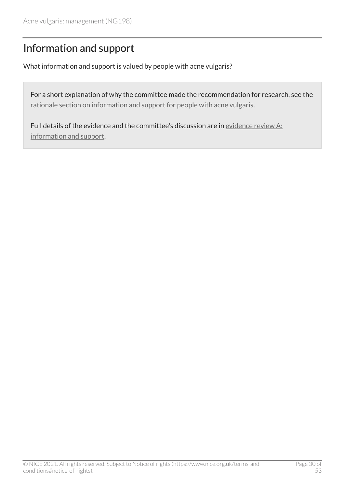### <span id="page-29-0"></span>Information and support

What information and support is valued by people with acne vulgaris?

For a short explanation of why the committee made the recommendation for research, see the [rationale section on information and support for people with acne vulgaris](#page-30-1).

Full details of the evidence and the committee's discussion are in [evidence review](https://www.nice.org.uk/guidance/ng198/evidence/a-information-and-support-pdf-9144159949) A: [information and support](https://www.nice.org.uk/guidance/ng198/evidence/a-information-and-support-pdf-9144159949).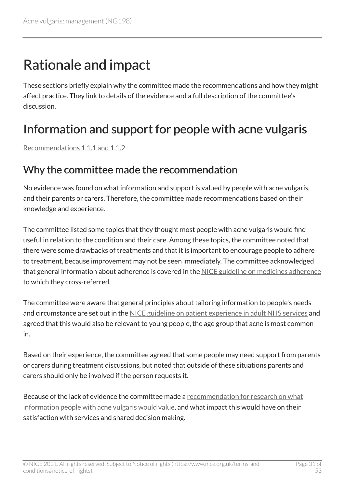## <span id="page-30-0"></span>Rationale and impact

These sections briefly explain why the committee made the recommendations and how they might affect practice. They link to details of the evidence and a full description of the committee's discussion.

### <span id="page-30-1"></span>Information and support for people with acne vulgaris

[Recommendations 1.1.1 and 1.1.2](#page-5-1)

#### Why the committee made the recommendation

No evidence was found on what information and support is valued by people with acne vulgaris, and their parents or carers. Therefore, the committee made recommendations based on their knowledge and experience.

The committee listed some topics that they thought most people with acne vulgaris would find useful in relation to the condition and their care. Among these topics, the committee noted that there were some drawbacks of treatments and that it is important to encourage people to adhere to treatment, because improvement may not be seen immediately. The committee acknowledged that general information about adherence is covered in the [NICE guideline on medicines adherence](https://www.nice.org.uk/guidance/cg76) to which they cross-referred.

The committee were aware that general principles about tailoring information to people's needs and circumstance are set out in the [NICE guideline on patient experience in adult NHS services](https://www.nice.org.uk/guidance/cg138) and agreed that this would also be relevant to young people, the age group that acne is most common in.

Based on their experience, the committee agreed that some people may need support from parents or carers during treatment discussions, but noted that outside of these situations parents and carers should only be involved if the person requests it.

Because of the lack of evidence the committee made a [recommendation for research on what](#page-29-0) [information people with acne vulgaris would value](#page-29-0), and what impact this would have on their satisfaction with services and shared decision making.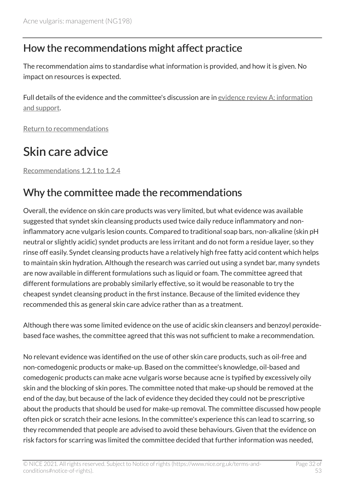#### How the recommendations might affect practice

The recommendation aims to standardise what information is provided, and how it is given. No impact on resources is expected.

Full details of the evidence and the committee's discussion are in [evidence review](https://www.nice.org.uk/guidance/ng198/evidence/a-information-and-support-pdf-9144159949) A: information [and support.](https://www.nice.org.uk/guidance/ng198/evidence/a-information-and-support-pdf-9144159949)

[Return to recommendations](#page-5-1)

### <span id="page-31-0"></span>Skin care advice

[Recommendations 1.2.1 to 1.2.4](#page-6-0) 

### Why the committee made the recommendations

Overall, the evidence on skin care products was very limited, but what evidence was available suggested that syndet skin cleansing products used twice daily reduce inflammatory and noninflammatory acne vulgaris lesion counts. Compared to traditional soap bars, non-alkaline (skin pH neutral or slightly acidic) syndet products are less irritant and do not form a residue layer, so they rinse off easily. Syndet cleansing products have a relatively high free fatty acid content which helps to maintain skin hydration. Although the research was carried out using a syndet bar, many syndets are now available in different formulations such as liquid or foam. The committee agreed that different formulations are probably similarly effective, so it would be reasonable to try the cheapest syndet cleansing product in the first instance. Because of the limited evidence they recommended this as general skin care advice rather than as a treatment.

Although there was some limited evidence on the use of acidic skin cleansers and benzoyl peroxidebased face washes, the committee agreed that this was not sufficient to make a recommendation.

No relevant evidence was identified on the use of other skin care products, such as oil-free and non-comedogenic products or make-up. Based on the committee's knowledge, oil-based and comedogenic products can make acne vulgaris worse because acne is typified by excessively oily skin and the blocking of skin pores. The committee noted that make-up should be removed at the end of the day, but because of the lack of evidence they decided they could not be prescriptive about the products that should be used for make-up removal. The committee discussed how people often pick or scratch their acne lesions. In the committee's experience this can lead to scarring, so they recommended that people are advised to avoid these behaviours. Given that the evidence on risk factors for scarring was limited the committee decided that further information was needed,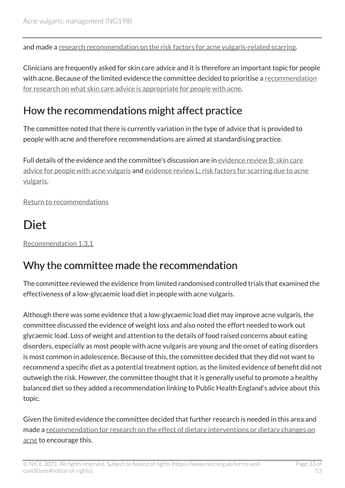and made a [research recommendation on the risk factors for acne vulgaris-related scarring.](#page-27-1)

Clinicians are frequently asked for skin care advice and it is therefore an important topic for people with acne. Because of the limited evidence the committee decided to prioritise a recommendation [for research on what skin care advice is appropriate for people with acne.](#page-27-2)

### How the recommendations might affect practice

The committee noted that there is currently variation in the type of advice that is provided to people with acne and therefore recommendations are aimed at standardising practice.

Full details of the evidence and the committee's discussion are in [evidence review](https://www.nice.org.uk/guidance/ng198/evidence/b-skin-care-advice-for-people-with-acne-vulgaris-pdf-9144159950) B: skin care [advice for people with acne vulgaris](https://www.nice.org.uk/guidance/ng198/evidence/b-skin-care-advice-for-people-with-acne-vulgaris-pdf-9144159950) and evidence review [L: risk factors for scarring due to acne](https://www.nice.org.uk/guidance/ng198/evidence/l-risk-factors-for-scarring-due-to-acne-vulgaris-pdf-329189758168) [vulgaris](https://www.nice.org.uk/guidance/ng198/evidence/l-risk-factors-for-scarring-due-to-acne-vulgaris-pdf-329189758168).

[Return to recommendations](#page-6-0)

### <span id="page-32-0"></span>**Diet**

[Recommendation 1.3.1](#page-7-0) 

### Why the committee made the recommendation

The committee reviewed the evidence from limited randomised controlled trials that examined the effectiveness of a low-glycaemic load diet in people with acne vulgaris.

Although there was some evidence that a low-glycaemic load diet may improve acne vulgaris, the committee discussed the evidence of weight loss and also noted the effort needed to work out glycaemic load. Loss of weight and attention to the details of food raised concerns about eating disorders, especially as most people with acne vulgaris are young and the onset of eating disorders is most common in adolescence. Because of this, the committee decided that they did not want to recommend a specific diet as a potential treatment option, as the limited evidence of benefit did not outweigh the risk. However, the committee thought that it is generally useful to promote a healthy balanced diet so they added a recommendation linking to Public Health England's advice about this topic.

Given the limited evidence the committee decided that further research is needed in this area and made a [recommendation for research on the effect of dietary interventions or dietary changes on](#page-26-2)  [acne](#page-26-2) to encourage this.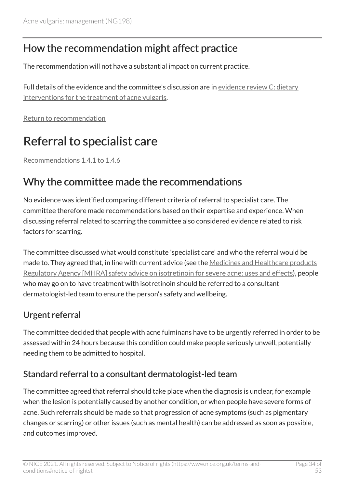### How the recommendation might affect practice

The recommendation will not have a substantial impact on current practice.

Full details of the evidence and the committee's discussion are in [evidence review](https://www.nice.org.uk/guidance/ng198/evidence/c-dietary-interventions-for-the-treatment-of-acne-vulgaris-pdf-9144159951) C: dietary [interventions for the treatment of acne vulgaris](https://www.nice.org.uk/guidance/ng198/evidence/c-dietary-interventions-for-the-treatment-of-acne-vulgaris-pdf-9144159951).

[Return to recommendation](#page-7-0)

### <span id="page-33-0"></span>Referral to specialist care

[Recommendations 1.4.1 to 1.4.6](#page-7-1) 

### Why the committee made the recommendations

No evidence was identified comparing different criteria of referral to specialist care. The committee therefore made recommendations based on their expertise and experience. When discussing referral related to scarring the committee also considered evidence related to risk factors for scarring.

The committee discussed what would constitute 'specialist care' and who the referral would be made to. They agreed that, in line with current advice (see the [Medicines and Healthcare products](https://www.gov.uk/government/publications/isotretinoin-for-severe-acne-uses-and-effects/isotretinoin-for-severe-acne-uses-and-effects) [Regulatory Agency \[MHRA\] safety advice on isotretinoin for severe acne: uses and effects\)](https://www.gov.uk/government/publications/isotretinoin-for-severe-acne-uses-and-effects/isotretinoin-for-severe-acne-uses-and-effects), people who may go on to have treatment with isotretinoin should be referred to a consultant dermatologist-led team to ensure the person's safety and wellbeing.

#### Urgent referral

The committee decided that people with acne fulminans have to be urgently referred in order to be assessed within 24 hours because this condition could make people seriously unwell, potentially needing them to be admitted to hospital.

#### Standard referral to a consultant dermatologist-led team

The committee agreed that referral should take place when the diagnosis is unclear, for example when the lesion is potentially caused by another condition, or when people have severe forms of acne. Such referrals should be made so that progression of acne symptoms (such as pigmentary changes or scarring) or other issues (such as mental health) can be addressed as soon as possible, and outcomes improved.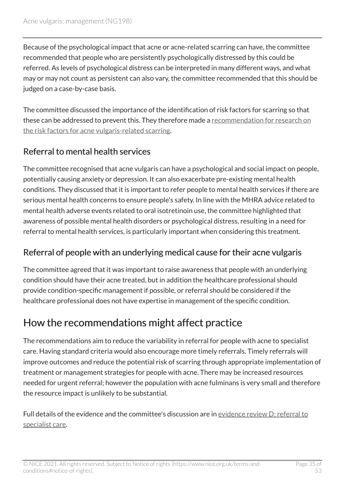Because of the psychological impact that acne or acne-related scarring can have, the committee recommended that people who are persistently psychologically distressed by this could be referred. As levels of psychological distress can be interpreted in many different ways, and what may or may not count as persistent can also vary, the committee recommended that this should be judged on a case-by-case basis.

The committee discussed the importance of the identification of risk factors for scarring so that these can be addressed to prevent this. They therefore made a [recommendation for research on](#page-27-1)  [the risk factors for acne vulgaris-related scarring](#page-27-1).

#### Referral to mental health services

The committee recognised that acne vulgaris can have a psychological and social impact on people, potentially causing anxiety or depression. It can also exacerbate pre-existing mental health conditions. They discussed that it is important to refer people to mental health services if there are serious mental health concerns to ensure people's safety. In line with the MHRA advice related to mental health adverse events related to oral isotretinoin use, the committee highlighted that awareness of possible mental health disorders or psychological distress, resulting in a need for referral to mental health services, is particularly important when considering this treatment.

#### Referral of people with an underlying medical cause for their acne vulgaris

The committee agreed that it was important to raise awareness that people with an underlying condition should have their acne treated, but in addition the healthcare professional should provide condition-specific management if possible, or referral should be considered if the healthcare professional does not have expertise in management of the specific condition.

### How the recommendations might affect practice

The recommendations aim to reduce the variability in referral for people with acne to specialist care. Having standard criteria would also encourage more timely referrals. Timely referrals will improve outcomes and reduce the potential risk of scarring through appropriate implementation of treatment or management strategies for people with acne. There may be increased resources needed for urgent referral; however the population with acne fulminans is very small and therefore the resource impact is unlikely to be substantial.

Full details of the evidence and the committee's discussion are in [evidence review](https://www.nice.org.uk/guidance/ng198/evidence/d-referral-to-specialist-care-pdf-9144159952) D: referral to [specialist care.](https://www.nice.org.uk/guidance/ng198/evidence/d-referral-to-specialist-care-pdf-9144159952)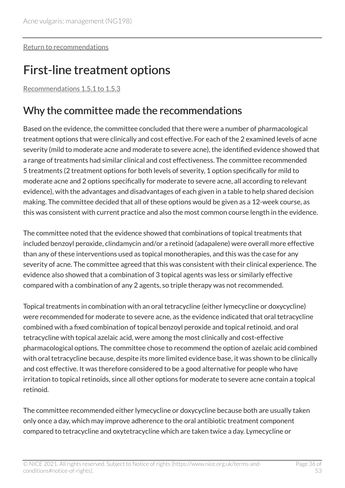[Return to recommendations](#page-7-1)

### <span id="page-35-0"></span>First-line treatment options

[Recommendations 1.5.1 to 1.5.3](#page-9-0) 

### Why the committee made the recommendations

Based on the evidence, the committee concluded that there were a number of pharmacological treatment options that were clinically and cost effective. For each of the 2 examined levels of acne severity (mild to moderate acne and moderate to severe acne), the identified evidence showed that a range of treatments had similar clinical and cost effectiveness. The committee recommended 5 treatments (2 treatment options for both levels of severity, 1 option specifically for mild to moderate acne and 2 options specifically for moderate to severe acne, all according to relevant evidence), with the advantages and disadvantages of each given in a table to help shared decision making. The committee decided that all of these options would be given as a 12-week course, as this was consistent with current practice and also the most common course length in the evidence.

The committee noted that the evidence showed that combinations of topical treatments that included benzoyl peroxide, clindamycin and/or a retinoid (adapalene) were overall more effective than any of these interventions used as topical monotherapies, and this was the case for any severity of acne. The committee agreed that this was consistent with their clinical experience. The evidence also showed that a combination of 3 topical agents was less or similarly effective compared with a combination of any 2 agents, so triple therapy was not recommended.

Topical treatments in combination with an oral tetracycline (either lymecycline or doxycycline) were recommended for moderate to severe acne, as the evidence indicated that oral tetracycline combined with a fixed combination of topical benzoyl peroxide and topical retinoid, and oral tetracycline with topical azelaic acid, were among the most clinically and cost-effective pharmacological options. The committee chose to recommend the option of azelaic acid combined with oral tetracycline because, despite its more limited evidence base, it was shown to be clinically and cost effective. It was therefore considered to be a good alternative for people who have irritation to topical retinoids, since all other options for moderate to severe acne contain a topical retinoid.

The committee recommended either lymecycline or doxycycline because both are usually taken only once a day, which may improve adherence to the oral antibiotic treatment component compared to tetracycline and oxytetracycline which are taken twice a day. Lymecycline or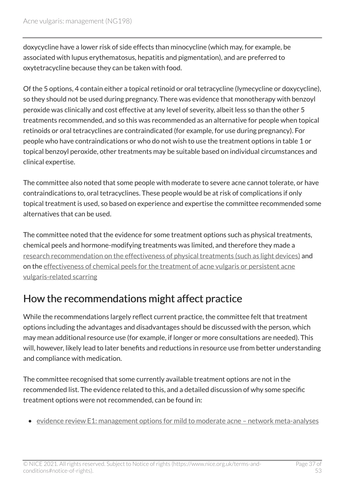doxycycline have a lower risk of side effects than minocycline (which may, for example, be associated with lupus erythematosus, hepatitis and pigmentation), and are preferred to oxytetracycline because they can be taken with food.

Of the 5 options, 4 contain either a topical retinoid or oral tetracycline (lymecycline or doxycycline), so they should not be used during pregnancy. There was evidence that monotherapy with benzoyl peroxide was clinically and cost effective at any level of severity, albeit less so than the other 5 treatments recommended, and so this was recommended as an alternative for people when topical retinoids or oral tetracyclines are contraindicated (for example, for use during pregnancy). For people who have contraindications or who do not wish to use the treatment options in table 1 or topical benzoyl peroxide, other treatments may be suitable based on individual circumstances and clinical expertise.

The committee also noted that some people with moderate to severe acne cannot tolerate, or have contraindications to, oral tetracyclines. These people would be at risk of complications if only topical treatment is used, so based on experience and expertise the committee recommended some alternatives that can be used.

The committee noted that the evidence for some treatment options such as physical treatments, chemical peels and hormone-modifying treatments was limited, and therefore they made a [research recommendation on the effectiveness of physical treatments \(such as light devices\)](#page-27-3) and on the [effectiveness of chemical peels for the treatment of acne vulgaris or persistent acne](#page-28-0) [vulgaris-related scarring](#page-28-0) 

### How the recommendations might affect practice

While the recommendations largely reflect current practice, the committee felt that treatment options including the advantages and disadvantages should be discussed with the person, which may mean additional resource use (for example, if longer or more consultations are needed). This will, however, likely lead to later benefits and reductions in resource use from better understanding and compliance with medication.

The committee recognised that some currently available treatment options are not in the recommended list. The evidence related to this, and a detailed discussion of why some specific treatment options were not recommended, can be found in:

• evidence review [E1: management options for mild to moderate acne – network meta-analyses](https://www.nice.org.uk/guidance/ng198/evidence/e1-management-options-for-mild-to-moderate-acne-network-metaanalyses-pdf-9144159953)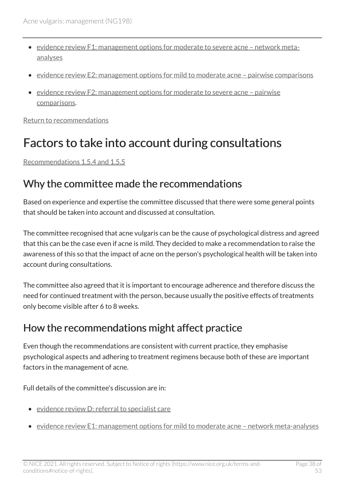- [evidence review F1: management options for moderate to severe acne network meta](https://www.nice.org.uk/guidance/ng198/evidence/f1-management-options-for-moderate-to-severe-acne-network-metaanalyses-pdf-9144159955)[analyses](https://www.nice.org.uk/guidance/ng198/evidence/f1-management-options-for-moderate-to-severe-acne-network-metaanalyses-pdf-9144159955)
- [evidence review E2: management options for mild to moderate acne pairwise comparisons](https://www.nice.org.uk/guidance/ng198/evidence/e1-management-options-for-mild-to-moderate-acne-network-metaanalyses-pdf-9144159953)
- [evidence review F2: management options for moderate to severe acne pairwise](https://www.nice.org.uk/guidance/ng198/evidence/f2-management-options-for-moderate-to-severe-acne-pairwise-comparisons-pdf-9144159956) [comparisons.](https://www.nice.org.uk/guidance/ng198/evidence/f2-management-options-for-moderate-to-severe-acne-pairwise-comparisons-pdf-9144159956)

[Return to recommendations](#page-9-0)

### <span id="page-37-0"></span>Factors to take into account during consultations

[Recommendations 1.5.4 and 1.5.5](#page-13-0)

#### Why the committee made the recommendations

Based on experience and expertise the committee discussed that there were some general points that should be taken into account and discussed at consultation.

The committee recognised that acne vulgaris can be the cause of psychological distress and agreed that this can be the case even if acne is mild. They decided to make a recommendation to raise the awareness of this so that the impact of acne on the person's psychological health will be taken into account during consultations.

The committee also agreed that it is important to encourage adherence and therefore discuss the need for continued treatment with the person, because usually the positive effects of treatments only become visible after 6 to 8 weeks.

#### How the recommendations might affect practice

Even though the recommendations are consistent with current practice, they emphasise psychological aspects and adhering to treatment regimens because both of these are important factors in the management of acne.

Full details of the committee's discussion are in:

- evidence review [D: referral to specialist care](https://www.nice.org.uk/guidance/ng198/evidence/d-referral-to-specialist-care-pdf-9144159952)
- evidence review [E1: management options for mild to moderate acne network meta-analyses](https://www.nice.org.uk/guidance/ng198/evidence/e1-management-options-for-mild-to-moderate-acne-network-metaanalyses-pdf-9144159953)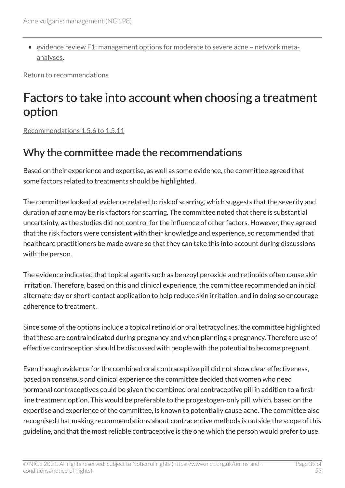• [evidence review F1: management options for moderate to severe acne – network meta](https://www.nice.org.uk/guidance/ng198/evidence/f1-management-options-for-moderate-to-severe-acne-network-metaanalyses-pdf-9144159955)[analyses](https://www.nice.org.uk/guidance/ng198/evidence/f1-management-options-for-moderate-to-severe-acne-network-metaanalyses-pdf-9144159955).

[Return to recommendations](#page-13-0)

### <span id="page-38-0"></span>Factors to take into account when choosing a treatment option

[Recommendations 1.5.6 to 1.5.11](#page-14-0) 

### Why the committee made the recommendations

Based on their experience and expertise, as well as some evidence, the committee agreed that some factors related to treatments should be highlighted.

The committee looked at evidence related to risk of scarring, which suggests that the severity and duration of acne may be risk factors for scarring. The committee noted that there is substantial uncertainty, as the studies did not control for the influence of other factors. However, they agreed that the risk factors were consistent with their knowledge and experience, so recommended that healthcare practitioners be made aware so that they can take this into account during discussions with the person.

The evidence indicated that topical agents such as benzoyl peroxide and retinoids often cause skin irritation. Therefore, based on this and clinical experience, the committee recommended an initial alternate-day or short-contact application to help reduce skin irritation, and in doing so encourage adherence to treatment.

Since some of the options include a topical retinoid or oral tetracyclines, the committee highlighted that these are contraindicated during pregnancy and when planning a pregnancy. Therefore use of effective contraception should be discussed with people with the potential to become pregnant.

Even though evidence for the combined oral contraceptive pill did not show clear effectiveness, based on consensus and clinical experience the committee decided that women who need hormonal contraceptives could be given the combined oral contraceptive pill in addition to a firstline treatment option. This would be preferable to the progestogen-only pill, which, based on the expertise and experience of the committee, is known to potentially cause acne. The committee also recognised that making recommendations about contraceptive methods is outside the scope of this guideline, and that the most reliable contraceptive is the one which the person would prefer to use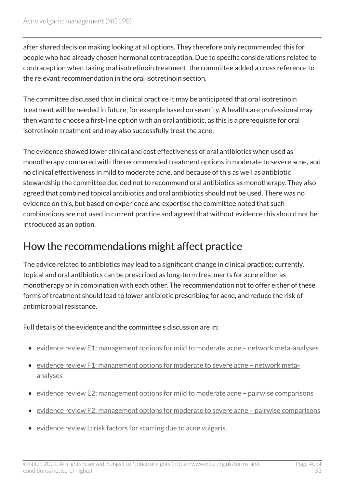after shared decision making looking at all options. They therefore only recommended this for people who had already chosen hormonal contraception. Due to specific considerations related to contraception when taking oral isotretinoin treatment, the committee added a cross reference to the relevant recommendation in the oral isotretinoin section.

The committee discussed that in clinical practice it may be anticipated that oral isotretinoin treatment will be needed in future, for example based on severity. A healthcare professional may then want to choose a first-line option with an oral antibiotic, as this is a prerequisite for oral isotretinoin treatment and may also successfully treat the acne.

The evidence showed lower clinical and cost effectiveness of oral antibiotics when used as monotherapy compared with the recommended treatment options in moderate to severe acne, and no clinical effectiveness in mild to moderate acne, and because of this as well as antibiotic stewardship the committee decided not to recommend oral antibiotics as monotherapy. They also agreed that combined topical antibiotics and oral antibiotics should not be used. There was no evidence on this, but based on experience and expertise the committee noted that such combinations are not used in current practice and agreed that without evidence this should not be introduced as an option.

#### How the recommendations might affect practice

The advice related to antibiotics may lead to a significant change in clinical practice: currently, topical and oral antibiotics can be prescribed as long-term treatments for acne either as monotherapy or in combination with each other. The recommendation not to offer either of these forms of treatment should lead to lower antibiotic prescribing for acne, and reduce the risk of antimicrobial resistance.

Full details of the evidence and the committee's discussion are in:

- evidence review [E1: management options for mild to moderate acne network meta-analyses](https://www.nice.org.uk/guidance/ng198/evidence/e1-management-options-for-mild-to-moderate-acne-network-metaanalyses-pdf-9144159953)
- [evidence review F1: management options for moderate to severe acne network meta](https://www.nice.org.uk/guidance/ng198/evidence/f1-management-options-for-moderate-to-severe-acne-network-metaanalyses-pdf-9144159955)[analyses](https://www.nice.org.uk/guidance/ng198/evidence/f1-management-options-for-moderate-to-severe-acne-network-metaanalyses-pdf-9144159955)
- [evidence review E2: management options for mild to moderate acne pairwise comparisons](https://www.nice.org.uk/guidance/ng198/evidence/e1-management-options-for-mild-to-moderate-acne-network-metaanalyses-pdf-9144159953)
- [evidence review F2: management options for moderate to severe acne pairwise comparisons](https://www.nice.org.uk/guidance/ng198/evidence/f2-management-options-for-moderate-to-severe-acne-pairwise-comparisons-pdf-9144159956)
- evidence review [L: risk factors for scarring due to acne vulgaris](https://www.nice.org.uk/guidance/ng198/evidence/l-risk-factors-for-scarring-due-to-acne-vulgaris-pdf-329189758168).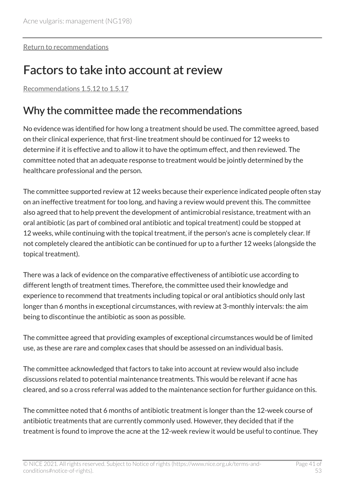[Return to recommendations](#page-14-0)

### <span id="page-40-0"></span>Factors to take into account at review

[Recommendations 1.5.12 to 1.5.17](#page-16-0) 

### Why the committee made the recommendations

No evidence was identified for how long a treatment should be used. The committee agreed, based on their clinical experience, that first-line treatment should be continued for 12 weeks to determine if it is effective and to allow it to have the optimum effect, and then reviewed. The committee noted that an adequate response to treatment would be jointly determined by the healthcare professional and the person.

The committee supported review at 12 weeks because their experience indicated people often stay on an ineffective treatment for too long, and having a review would prevent this. The committee also agreed that to help prevent the development of antimicrobial resistance, treatment with an oral antibiotic (as part of combined oral antibiotic and topical treatment) could be stopped at 12 weeks, while continuing with the topical treatment, if the person's acne is completely clear. If not completely cleared the antibiotic can be continued for up to a further 12 weeks (alongside the topical treatment).

There was a lack of evidence on the comparative effectiveness of antibiotic use according to different length of treatment times. Therefore, the committee used their knowledge and experience to recommend that treatments including topical or oral antibiotics should only last longer than 6 months in exceptional circumstances, with review at 3-monthly intervals: the aim being to discontinue the antibiotic as soon as possible.

The committee agreed that providing examples of exceptional circumstances would be of limited use, as these are rare and complex cases that should be assessed on an individual basis.

The committee acknowledged that factors to take into account at review would also include discussions related to potential maintenance treatments. This would be relevant if acne has cleared, and so a cross referral was added to the maintenance section for further guidance on this.

The committee noted that 6 months of antibiotic treatment is longer than the 12-week course of antibiotic treatments that are currently commonly used. However, they decided that if the treatment is found to improve the acne at the 12-week review it would be useful to continue. They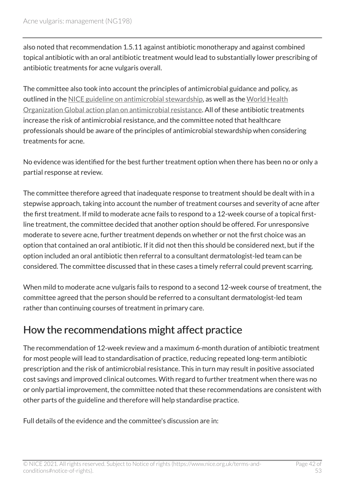also noted that recommendation 1.5.11 against antibiotic monotherapy and against combined topical antibiotic with an oral antibiotic treatment would lead to substantially lower prescribing of antibiotic treatments for acne vulgaris overall.

The committee also took into account the principles of antimicrobial guidance and policy, as outlined in the [NICE guideline on antimicrobial stewardship,](https://www.nice.org.uk/guidance/ng15) as well as the [World Health](https://www.who.int/publications/i/item/9789241509763) [Organization Global action plan on antimicrobial resistance.](https://www.who.int/publications/i/item/9789241509763) All of these antibiotic treatments increase the risk of antimicrobial resistance, and the committee noted that healthcare professionals should be aware of the principles of antimicrobial stewardship when considering treatments for acne.

No evidence was identified for the best further treatment option when there has been no or only a partial response at review.

The committee therefore agreed that inadequate response to treatment should be dealt with in a stepwise approach, taking into account the number of treatment courses and severity of acne after the first treatment. If mild to moderate acne fails to respond to a 12-week course of a topical firstline treatment, the committee decided that another option should be offered. For unresponsive moderate to severe acne, further treatment depends on whether or not the first choice was an option that contained an oral antibiotic. If it did not then this should be considered next, but if the option included an oral antibiotic then referral to a consultant dermatologist-led team can be considered. The committee discussed that in these cases a timely referral could prevent scarring.

When mild to moderate acne vulgaris fails to respond to a second 12-week course of treatment, the committee agreed that the person should be referred to a consultant dermatologist-led team rather than continuing courses of treatment in primary care.

#### How the recommendations might affect practice

The recommendation of 12-week review and a maximum 6-month duration of antibiotic treatment for most people will lead to standardisation of practice, reducing repeated long-term antibiotic prescription and the risk of antimicrobial resistance. This in turn may result in positive associated cost savings and improved clinical outcomes. With regard to further treatment when there was no or only partial improvement, the committee noted that these recommendations are consistent with other parts of the guideline and therefore will help standardise practice.

Full details of the evidence and the committee's discussion are in: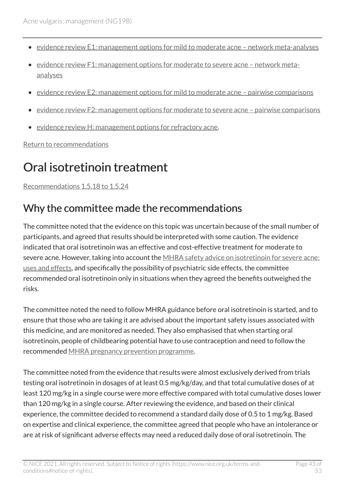- evidence review E1: management options for mild to moderate acne network meta-analyses
- [evidence review F1: management options for moderate to severe acne network meta](https://www.nice.org.uk/guidance/ng198/evidence/f1-management-options-for-moderate-to-severe-acne-network-metaanalyses-pdf-9144159955)[analyses](https://www.nice.org.uk/guidance/ng198/evidence/f1-management-options-for-moderate-to-severe-acne-network-metaanalyses-pdf-9144159955)
- [evidence review E2: management options for mild to moderate acne pairwise comparisons](https://www.nice.org.uk/guidance/ng198/evidence/e2-management-options-for-mild-to-moderate-acne-pairwise-comparisons-pdf-9144159954)
- [evidence review F2: management options for moderate to severe acne pairwise comparisons](https://www.nice.org.uk/guidance/ng198/evidence/f2-management-options-for-moderate-to-severe-acne-pairwise-comparisons-pdf-9144159956)
- evidence review [H: management options for refractory acne.](https://www.nice.org.uk/guidance/ng198/evidence/h-management-options-for-refractory-acne-pdf-329189758164)

[Return to recommendations](#page-16-0)

### <span id="page-42-0"></span>Oral isotretinoin treatment

[Recommendations 1.5.18 to 1.5.24](#page-17-0) 

### Why the committee made the recommendations

The committee noted that the evidence on this topic was uncertain because of the small number of participants, and agreed that results should be interpreted with some caution. The evidence indicated that oral isotretinoin was an effective and cost-effective treatment for moderate to severe acne. However, taking into account the [MHRA safety advice on isotretinoin for severe acne:](https://www.gov.uk/government/publications/isotretinoin-for-severe-acne-uses-and-effects/isotretinoin-for-severe-acne-uses-and-effects)  [uses and effects](https://www.gov.uk/government/publications/isotretinoin-for-severe-acne-uses-and-effects/isotretinoin-for-severe-acne-uses-and-effects), and specifically the possibility of psychiatric side effects, the committee recommended oral isotretinoin only in situations when they agreed the benefits outweighed the risks.

The committee noted the need to follow MHRA guidance before oral isotretinoin is started, and to ensure that those who are taking it are advised about the important safety issues associated with this medicine, and are monitored as needed. They also emphasised that when starting oral isotretinoin, people of childbearing potential have to use contraception and need to follow the recommended [MHRA pregnancy prevention programme](https://www.gov.uk/drug-safety-update/oral-retinoid-medicines-revised-and-simplified-pregnancy-prevention-educational-materials-for-healthcare-professionals-and-women).

The committee noted from the evidence that results were almost exclusively derived from trials testing oral isotretinoin in dosages of at least 0.5 mg/kg/day, and that total cumulative doses of at least 120 mg/kg in a single course were more effective compared with total cumulative doses lower than 120 mg/kg in a single course. After reviewing the evidence, and based on their clinical experience, the committee decided to recommend a standard daily dose of 0.5 to 1 mg/kg. Based on expertise and clinical experience, the committee agreed that people who have an intolerance or are at risk of significant adverse effects may need a reduced daily dose of oral isotretinoin. The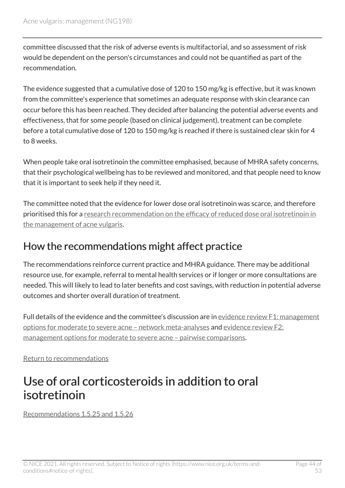committee discussed that the risk of adverse events is multifactorial, and so assessment of risk would be dependent on the person's circumstances and could not be quantified as part of the recommendation.

The evidence suggested that a cumulative dose of 120 to 150 mg/kg is effective, but it was known from the committee's experience that sometimes an adequate response with skin clearance can occur before this has been reached. They decided after balancing the potential adverse events and effectiveness, that for some people (based on clinical judgement), treatment can be complete before a total cumulative dose of 120 to 150 mg/kg is reached if there is sustained clear skin for 4 to 8 weeks.

When people take oral isotretinoin the committee emphasised, because of MHRA safety concerns, that their psychological wellbeing has to be reviewed and monitored, and that people need to know that it is important to seek help if they need it.

The committee noted that the evidence for lower dose oral isotretinoin was scarce, and therefore prioritised this for a [research recommendation on the efficacy of reduced dose oral isotretinoin in](#page-26-3) [the management of acne vulgaris.](#page-26-3)

#### How the recommendations might affect practice

The recommendations reinforce current practice and MHRA guidance. There may be additional resource use, for example, referral to mental health services or if longer or more consultations are needed. This will likely to lead to later benefits and cost savings, with reduction in potential adverse outcomes and shorter overall duration of treatment.

Full details of the evidence and the committee's discussion are in evidence review [F1: management](https://www.nice.org.uk/guidance/ng198/evidence/f1-management-options-for-moderate-to-severe-acne-network-metaanalyses-pdf-9144159955) [options for moderate to severe acne – network meta-analyses](https://www.nice.org.uk/guidance/ng198/evidence/f1-management-options-for-moderate-to-severe-acne-network-metaanalyses-pdf-9144159955) and [evidence review](https://www.nice.org.uk/guidance/ng198/evidence/f2-management-options-for-moderate-to-severe-acne-pairwise-comparisons-pdf-9144159956) F2: [management options for moderate to severe acne – pairwise comparisons](https://www.nice.org.uk/guidance/ng198/evidence/f2-management-options-for-moderate-to-severe-acne-pairwise-comparisons-pdf-9144159956).

[Return to recommendations](#page-17-0)

### <span id="page-43-0"></span>Use of oral corticosteroids in addition to oral isotretinoin

[Recommendations 1.5.25 and 1.5.26](#page-19-0)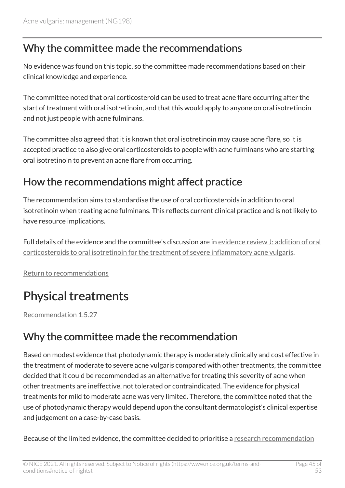### Why the committee made the recommendations

No evidence was found on this topic, so the committee made recommendations based on their clinical knowledge and experience.

The committee noted that oral corticosteroid can be used to treat acne flare occurring after the start of treatment with oral isotretinoin, and that this would apply to anyone on oral isotretinoin and not just people with acne fulminans.

The committee also agreed that it is known that oral isotretinoin may cause acne flare, so it is accepted practice to also give oral corticosteroids to people with acne fulminans who are starting oral isotretinoin to prevent an acne flare from occurring.

### How the recommendations might affect practice

The recommendation aims to standardise the use of oral corticosteroids in addition to oral isotretinoin when treating acne fulminans. This reflects current clinical practice and is not likely to have resource implications.

Full details of the evidence and the committee's discussion are in evidence review [J: addition of oral](https://www.nice.org.uk/guidance/ng198/evidence/j-addition-of-oral-corticosteroids-to-oral-isotretinoin-for-the-treatment-of-severe-inflammatory-acne-vulgaris-pdf-329189758166)  [corticosteroids to oral isotretinoin for the treatment of severe inflammatory acne vulgaris](https://www.nice.org.uk/guidance/ng198/evidence/j-addition-of-oral-corticosteroids-to-oral-isotretinoin-for-the-treatment-of-severe-inflammatory-acne-vulgaris-pdf-329189758166).

[Return to recommendations](#page-19-0)

### <span id="page-44-0"></span>Physical treatments

[Recommendation 1.5.27](#page-19-1) 

#### Why the committee made the recommendation

Based on modest evidence that photodynamic therapy is moderately clinically and cost effective in the treatment of moderate to severe acne vulgaris compared with other treatments, the committee decided that it could be recommended as an alternative for treating this severity of acne when other treatments are ineffective, not tolerated or contraindicated. The evidence for physical treatments for mild to moderate acne was very limited. Therefore, the committee noted that the use of photodynamic therapy would depend upon the consultant dermatologist's clinical expertise and judgement on a case-by-case basis.

Because of the limited evidence, the committee decided to prioritise a [research recommendation](#page-27-3)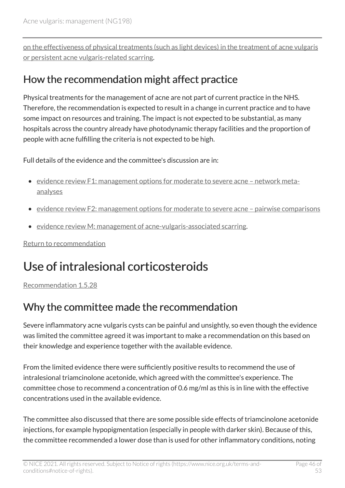[on the effectiveness of physical treatments \(such as light devices\) in the treatment of acne vulgaris](#page-27-3) [or persistent acne vulgaris-related scarring](#page-27-3).

#### How the recommendation might affect practice

Physical treatments for the management of acne are not part of current practice in the NHS. Therefore, the recommendation is expected to result in a change in current practice and to have some impact on resources and training. The impact is not expected to be substantial, as many hospitals across the country already have photodynamic therapy facilities and the proportion of people with acne fulfilling the criteria is not expected to be high.

Full details of the evidence and the committee's discussion are in:

- evidence review [F1: management options for moderate to severe acne network meta](https://www.nice.org.uk/guidance/ng198/evidence/f1-management-options-for-moderate-to-severe-acne-network-metaanalyses-pdf-9144159955)[analyses](https://www.nice.org.uk/guidance/ng198/evidence/f1-management-options-for-moderate-to-severe-acne-network-metaanalyses-pdf-9144159955)
- evidence review [F2: management options for moderate to severe acne pairwise comparisons](https://www.nice.org.uk/guidance/ng198/evidence/f2-management-options-for-moderate-to-severe-acne-pairwise-comparisons-pdf-9144159956)
- [evidence review M: management of acne-vulgaris-associated scarring](https://www.nice.org.uk/guidance/ng198/evidence/m-management-of-acne-vulgarisassociated-scarring-pdf-329189758169).

[Return to recommendation](#page-19-1)

### <span id="page-45-0"></span>Use of intralesional corticosteroids

[Recommendation 1.5.28](#page-19-2) 

### Why the committee made the recommendation

Severe inflammatory acne vulgaris cysts can be painful and unsightly, so even though the evidence was limited the committee agreed it was important to make a recommendation on this based on their knowledge and experience together with the available evidence.

From the limited evidence there were sufficiently positive results to recommend the use of intralesional triamcinolone acetonide, which agreed with the committee's experience. The committee chose to recommend a concentration of 0.6 mg/ml as this is in line with the effective concentrations used in the available evidence.

The committee also discussed that there are some possible side effects of triamcinolone acetonide injections, for example hypopigmentation (especially in people with darker skin). Because of this, the committee recommended a lower dose than is used for other inflammatory conditions, noting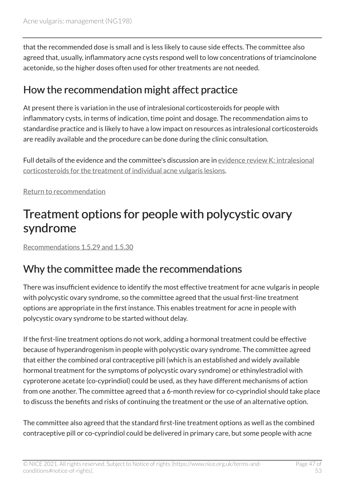that the recommended dose is small and is less likely to cause side effects. The committee also agreed that, usually, inflammatory acne cysts respond well to low concentrations of triamcinolone acetonide, so the higher doses often used for other treatments are not needed.

#### How the recommendation might affect practice

At present there is variation in the use of intralesional corticosteroids for people with inflammatory cysts, in terms of indication, time point and dosage. The recommendation aims to standardise practice and is likely to have a low impact on resources as intralesional corticosteroids are readily available and the procedure can be done during the clinic consultation.

Full details of the evidence and the committee's discussion are in [evidence review](https://www.nice.org.uk/guidance/ng198/evidence/k-intralesional-corticosteroids-for-the-treatment-of-individual-acne-vulgaris-lesions-pdf-329189758167) K: intralesional [corticosteroids for the treatment of individual acne vulgaris lesions](https://www.nice.org.uk/guidance/ng198/evidence/k-intralesional-corticosteroids-for-the-treatment-of-individual-acne-vulgaris-lesions-pdf-329189758167).

[Return to recommendation](#page-19-2)

### <span id="page-46-0"></span>Treatment options for people with polycystic ovary syndrome

[Recommendations 1.5.29 and 1.5.30](#page-20-1)

### Why the committee made the recommendations

There was insufficient evidence to identify the most effective treatment for acne vulgaris in people with polycystic ovary syndrome, so the committee agreed that the usual first-line treatment options are appropriate in the first instance. This enables treatment for acne in people with polycystic ovary syndrome to be started without delay.

If the first-line treatment options do not work, adding a hormonal treatment could be effective because of hyperandrogenism in people with polycystic ovary syndrome. The committee agreed that either the combined oral contraceptive pill (which is an established and widely available hormonal treatment for the symptoms of polycystic ovary syndrome) or ethinylestradiol with cyproterone acetate (co-cyprindiol) could be used, as they have different mechanisms of action from one another. The committee agreed that a 6-month review for co-cyprindiol should take place to discuss the benefits and risks of continuing the treatment or the use of an alternative option.

The committee also agreed that the standard first-line treatment options as well as the combined contraceptive pill or co-cyprindiol could be delivered in primary care, but some people with acne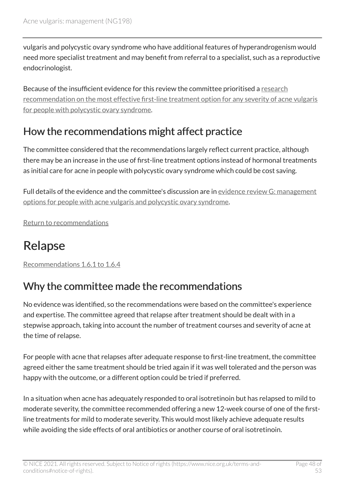vulgaris and polycystic ovary syndrome who have additional features of hyperandrogenism would need more specialist treatment and may benefit from referral to a specialist, such as a reproductive endocrinologist.

Because of the insufficient evidence for this review the committee prioritised a [research](#page-26-4)  [recommendation on the most effective first-line treatment option for any severity of acne vulgaris](#page-26-4) [for people with polycystic ovary syndrome.](#page-26-4)

### How the recommendations might affect practice

The committee considered that the recommendations largely reflect current practice, although there may be an increase in the use of first-line treatment options instead of hormonal treatments as initial care for acne in people with polycystic ovary syndrome which could be cost saving.

Full details of the evidence and the committee's discussion are in [evidence review](https://www.nice.org.uk/guidance/ng198/evidence/g-management-options-for-people-with-acne-vulgaris-and-polycystic-ovary-syndrome-pdf-9144159957) G: management [options for people with acne vulgaris and polycystic ovary syndrome.](https://www.nice.org.uk/guidance/ng198/evidence/g-management-options-for-people-with-acne-vulgaris-and-polycystic-ovary-syndrome-pdf-9144159957)

[Return to recommendations](#page-20-1)

### <span id="page-47-0"></span>Relapse

[Recommendations 1.6.1 to 1.6.4](#page-20-0) 

### Why the committee made the recommendations

No evidence was identified, so the recommendations were based on the committee's experience and expertise. The committee agreed that relapse after treatment should be dealt with in a stepwise approach, taking into account the number of treatment courses and severity of acne at the time of relapse.

For people with acne that relapses after adequate response to first-line treatment, the committee agreed either the same treatment should be tried again if it was well tolerated and the person was happy with the outcome, or a different option could be tried if preferred.

In a situation when acne has adequately responded to oral isotretinoin but has relapsed to mild to moderate severity, the committee recommended offering a new 12-week course of one of the firstline treatments for mild to moderate severity. This would most likely achieve adequate results while avoiding the side effects of oral antibiotics or another course of oral isotretinoin.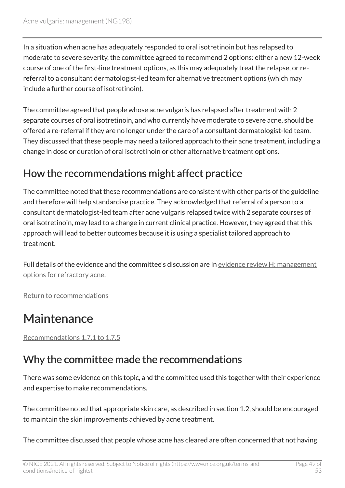In a situation when acne has adequately responded to oral isotretinoin but has relapsed to moderate to severe severity, the committee agreed to recommend 2 options: either a new 12-week course of one of the first-line treatment options, as this may adequately treat the relapse, or rereferral to a consultant dermatologist-led team for alternative treatment options (which may include a further course of isotretinoin).

The committee agreed that people whose acne vulgaris has relapsed after treatment with 2 separate courses of oral isotretinoin, and who currently have moderate to severe acne, should be offered a re-referral if they are no longer under the care of a consultant dermatologist-led team. They discussed that these people may need a tailored approach to their acne treatment, including a change in dose or duration of oral isotretinoin or other alternative treatment options.

### How the recommendations might affect practice

The committee noted that these recommendations are consistent with other parts of the guideline and therefore will help standardise practice. They acknowledged that referral of a person to a consultant dermatologist-led team after acne vulgaris relapsed twice with 2 separate courses of oral isotretinoin, may lead to a change in current clinical practice. However, they agreed that this approach will lead to better outcomes because it is using a specialist tailored approach to treatment.

Full details of the evidence and the committee's discussion are in [evidence review](https://www.nice.org.uk/guidance/ng198/evidence/h-management-options-for-refractory-acne-pdf-329189758164) H: management [options for refractory acne](https://www.nice.org.uk/guidance/ng198/evidence/h-management-options-for-refractory-acne-pdf-329189758164).

[Return to recommendations](#page-20-0)

### <span id="page-48-0"></span>Maintenance

[Recommendations 1.7.1 to 1.7.5](#page-21-0) 

### Why the committee made the recommendations

There was some evidence on this topic, and the committee used this together with their experience and expertise to make recommendations.

The committee noted that appropriate skin care, as described in section 1.2, should be encouraged to maintain the skin improvements achieved by acne treatment.

The committee discussed that people whose acne has cleared are often concerned that not having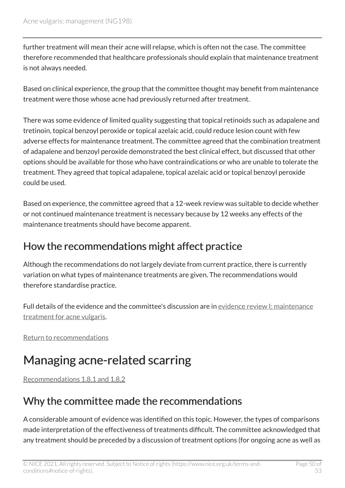further treatment will mean their acne will relapse, which is often not the case. The committee therefore recommended that healthcare professionals should explain that maintenance treatment is not always needed.

Based on clinical experience, the group that the committee thought may benefit from maintenance treatment were those whose acne had previously returned after treatment.

There was some evidence of limited quality suggesting that topical retinoids such as adapalene and tretinoin, topical benzoyl peroxide or topical azelaic acid, could reduce lesion count with few adverse effects for maintenance treatment. The committee agreed that the combination treatment of adapalene and benzoyl peroxide demonstrated the best clinical effect, but discussed that other options should be available for those who have contraindications or who are unable to tolerate the treatment. They agreed that topical adapalene, topical azelaic acid or topical benzoyl peroxide could be used.

Based on experience, the committee agreed that a 12-week review was suitable to decide whether or not continued maintenance treatment is necessary because by 12 weeks any effects of the maintenance treatments should have become apparent.

#### How the recommendations might affect practice

Although the recommendations do not largely deviate from current practice, there is currently variation on what types of maintenance treatments are given. The recommendations would therefore standardise practice.

Full details of the evidence and the committee's discussion are in [evidence review](https://www.nice.org.uk/guidance/ng198/evidence/i-maintenance-treatment-for-acne-vulgaris-pdf-329189758165) I: maintenance [treatment for acne vulgaris.](https://www.nice.org.uk/guidance/ng198/evidence/i-maintenance-treatment-for-acne-vulgaris-pdf-329189758165)

[Return to recommendations](#page-21-0)

### <span id="page-49-0"></span>Managing acne-related scarring

[Recommendations 1.8.1 and 1.8.2](#page-22-0)

### Why the committee made the recommendations

A considerable amount of evidence was identified on this topic. However, the types of comparisons made interpretation of the effectiveness of treatments difficult. The committee acknowledged that any treatment should be preceded by a discussion of treatment options (for ongoing acne as well as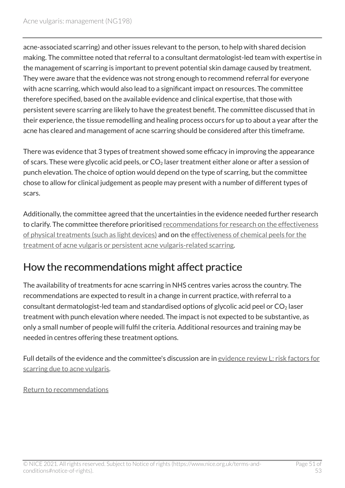acne-associated scarring) and other issues relevant to the person, to help with shared decision making. The committee noted that referral to a consultant dermatologist-led team with expertise in the management of scarring is important to prevent potential skin damage caused by treatment. They were aware that the evidence was not strong enough to recommend referral for everyone with acne scarring, which would also lead to a significant impact on resources. The committee therefore specified, based on the available evidence and clinical expertise, that those with persistent severe scarring are likely to have the greatest benefit. The committee discussed that in their experience, the tissue remodelling and healing process occurs for up to about a year after the acne has cleared and management of acne scarring should be considered after this timeframe.

There was evidence that 3 types of treatment showed some efficacy in improving the appearance of scars. These were glycolic acid peels, or  $CO<sub>2</sub>$  laser treatment either alone or after a session of punch elevation. The choice of option would depend on the type of scarring, but the committee chose to allow for clinical judgement as people may present with a number of different types of scars.

Additionally, the committee agreed that the uncertainties in the evidence needed further research to clarify. The committee therefore prioritised recommendations for research on the effectiveness [of physical treatments \(such as light devices\)](#page-27-3) and on the [effectiveness of chemical peels for the](#page-28-0)  [treatment of acne vulgaris or persistent acne vulgaris-related scarring](#page-28-0).

### How the recommendations might affect practice

The availability of treatments for acne scarring in NHS centres varies across the country. The recommendations are expected to result in a change in current practice, with referral to a consultant dermatologist-led team and standardised options of glycolic acid peel or  $CO<sub>2</sub>$  laser treatment with punch elevation where needed. The impact is not expected to be substantive, as only a small number of people will fulfil the criteria. Additional resources and training may be needed in centres offering these treatment options.

Full details of the evidence and the committee's discussion are in evidence review [L: risk factors for](https://www.nice.org.uk/guidance/ng198/evidence/l-risk-factors-for-scarring-due-to-acne-vulgaris-pdf-329189758168)  [scarring due to acne vulgaris](https://www.nice.org.uk/guidance/ng198/evidence/l-risk-factors-for-scarring-due-to-acne-vulgaris-pdf-329189758168).

[Return to recommendations](#page-22-0)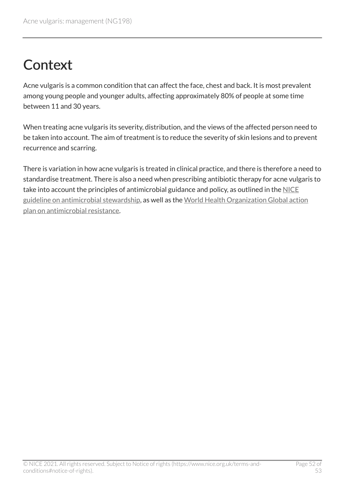## <span id="page-51-0"></span>**Context**

Acne vulgaris is a common condition that can affect the face, chest and back. It is most prevalent among young people and younger adults, affecting approximately 80% of people at some time between 11 and 30 years.

When treating acne vulgaris its severity, distribution, and the views of the affected person need to be taken into account. The aim of treatment is to reduce the severity of skin lesions and to prevent recurrence and scarring.

There is variation in how acne vulgaris is treated in clinical practice, and there is therefore a need to standardise treatment. There is also a need when prescribing antibiotic therapy for acne vulgaris to take into account the principles of antimicrobial guidance and policy, as outlined in the [NICE](https://www.nice.org.uk/guidance/ng15) [guideline on antimicrobial stewardship,](https://www.nice.org.uk/guidance/ng15) as well as the [World Health Organization Global action](https://www.who.int/publications/i/item/9789241509763)  [plan on antimicrobial resistance.](https://www.who.int/publications/i/item/9789241509763)